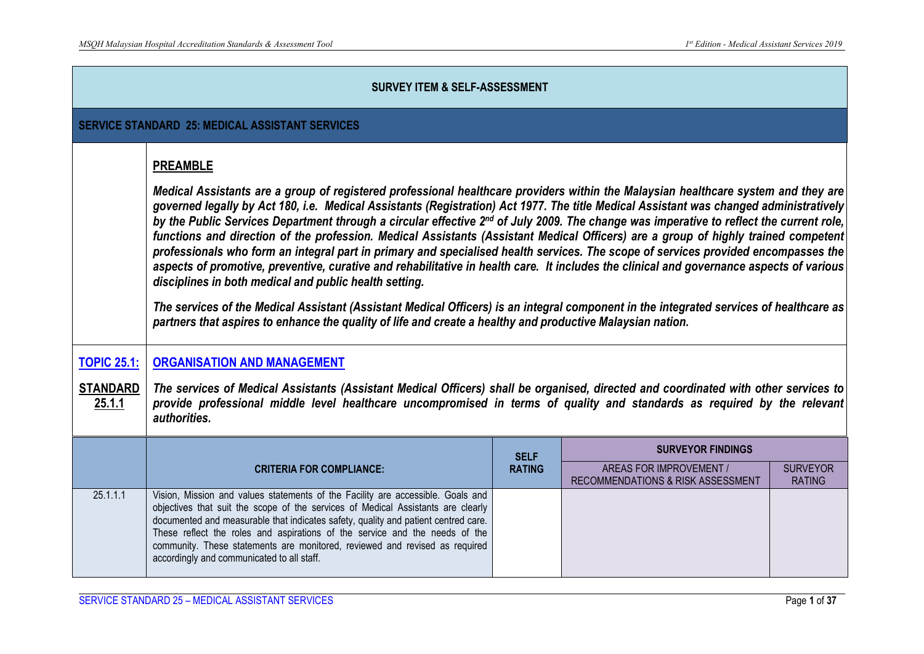|                                                        | <b>SURVEY ITEM &amp; SELF-ASSESSMENT</b>                                                                                                                                                                                                                                                                                                                                                                                                                                                                                                                                                                                                                                                                                                                                                                                                                                                                                                                                                                                                                                                                                                                                                          |                              |                                                                                          |                                  |  |  |
|--------------------------------------------------------|---------------------------------------------------------------------------------------------------------------------------------------------------------------------------------------------------------------------------------------------------------------------------------------------------------------------------------------------------------------------------------------------------------------------------------------------------------------------------------------------------------------------------------------------------------------------------------------------------------------------------------------------------------------------------------------------------------------------------------------------------------------------------------------------------------------------------------------------------------------------------------------------------------------------------------------------------------------------------------------------------------------------------------------------------------------------------------------------------------------------------------------------------------------------------------------------------|------------------------------|------------------------------------------------------------------------------------------|----------------------------------|--|--|
| <b>SERVICE STANDARD 25: MEDICAL ASSISTANT SERVICES</b> |                                                                                                                                                                                                                                                                                                                                                                                                                                                                                                                                                                                                                                                                                                                                                                                                                                                                                                                                                                                                                                                                                                                                                                                                   |                              |                                                                                          |                                  |  |  |
| <b>TOPIC 25.1:</b>                                     | <b>PREAMBLE</b><br>Medical Assistants are a group of registered professional healthcare providers within the Malaysian healthcare system and they are<br>governed legally by Act 180, i.e. Medical Assistants (Registration) Act 1977. The title Medical Assistant was changed administratively<br>by the Public Services Department through a circular effective 2 <sup>nd</sup> of July 2009. The change was imperative to reflect the current role,<br>functions and direction of the profession. Medical Assistants (Assistant Medical Officers) are a group of highly trained competent<br>professionals who form an integral part in primary and specialised health services. The scope of services provided encompasses the<br>aspects of promotive, preventive, curative and rehabilitative in health care. It includes the clinical and governance aspects of various<br>disciplines in both medical and public health setting.<br>The services of the Medical Assistant (Assistant Medical Officers) is an integral component in the integrated services of healthcare as<br>partners that aspires to enhance the quality of life and create a healthy and productive Malaysian nation. |                              |                                                                                          |                                  |  |  |
| <b>STANDARD</b><br>25.1.1                              | <b>ORGANISATION AND MANAGEMENT</b><br>The services of Medical Assistants (Assistant Medical Officers) shall be organised, directed and coordinated with other services to<br>provide professional middle level healthcare uncompromised in terms of quality and standards as required by the relevant<br>authorities.                                                                                                                                                                                                                                                                                                                                                                                                                                                                                                                                                                                                                                                                                                                                                                                                                                                                             |                              |                                                                                          |                                  |  |  |
|                                                        | <b>CRITERIA FOR COMPLIANCE:</b>                                                                                                                                                                                                                                                                                                                                                                                                                                                                                                                                                                                                                                                                                                                                                                                                                                                                                                                                                                                                                                                                                                                                                                   | <b>SELF</b><br><b>RATING</b> | <b>SURVEYOR FINDINGS</b><br>AREAS FOR IMPROVEMENT /<br>RECOMMENDATIONS & RISK ASSESSMENT | <b>SURVEYOR</b><br><b>RATING</b> |  |  |
| 25.1.1.1                                               | Vision, Mission and values statements of the Facility are accessible. Goals and<br>objectives that suit the scope of the services of Medical Assistants are clearly<br>documented and measurable that indicates safety, quality and patient centred care.<br>These reflect the roles and aspirations of the service and the needs of the<br>community. These statements are monitored, reviewed and revised as required<br>accordingly and communicated to all staff.                                                                                                                                                                                                                                                                                                                                                                                                                                                                                                                                                                                                                                                                                                                             |                              |                                                                                          |                                  |  |  |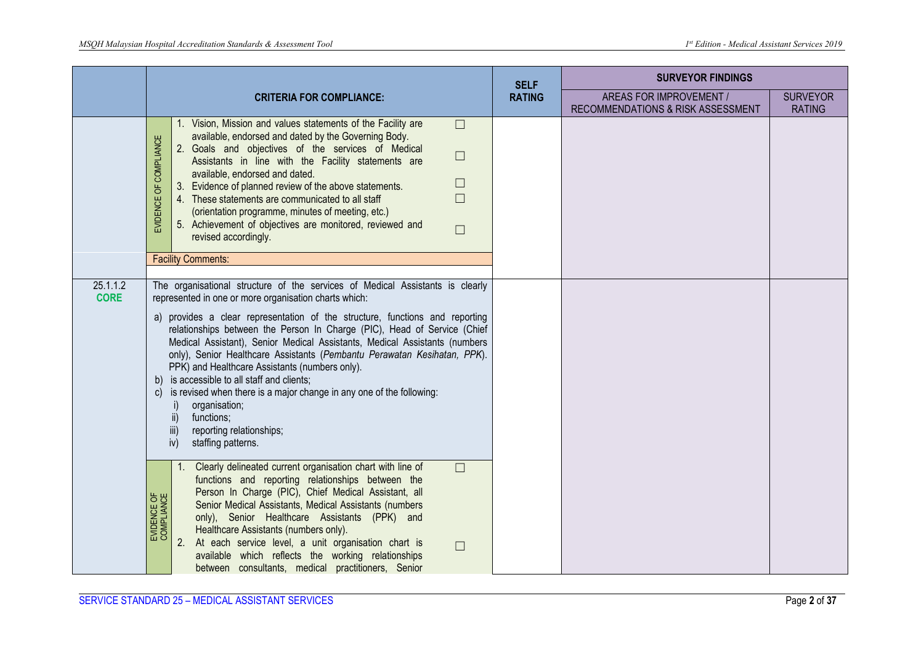|                         |                                                                                                                                                                                                                                                                                                                                                                                                                                                                                                                                                                                                                                                                                                                                                                                                                                                                                                     |               | <b>SURVEYOR FINDINGS</b>                                     |                                  |
|-------------------------|-----------------------------------------------------------------------------------------------------------------------------------------------------------------------------------------------------------------------------------------------------------------------------------------------------------------------------------------------------------------------------------------------------------------------------------------------------------------------------------------------------------------------------------------------------------------------------------------------------------------------------------------------------------------------------------------------------------------------------------------------------------------------------------------------------------------------------------------------------------------------------------------------------|---------------|--------------------------------------------------------------|----------------------------------|
|                         | <b>CRITERIA FOR COMPLIANCE:</b>                                                                                                                                                                                                                                                                                                                                                                                                                                                                                                                                                                                                                                                                                                                                                                                                                                                                     | <b>RATING</b> | AREAS FOR IMPROVEMENT /<br>RECOMMENDATIONS & RISK ASSESSMENT | <b>SURVEYOR</b><br><b>RATING</b> |
|                         | 1. Vision, Mission and values statements of the Facility are<br>$\Box$<br>available, endorsed and dated by the Governing Body.<br>EVIDENCE OF COMPLIANCE<br>2. Goals and objectives of the services of Medical<br>$\Box$<br>Assistants in line with the Facility statements are<br>available, endorsed and dated.<br>$\Box$<br>3. Evidence of planned review of the above statements.<br>4. These statements are communicated to all staff<br>$\Box$<br>(orientation programme, minutes of meeting, etc.)<br>5. Achievement of objectives are monitored, reviewed and<br>$\Box$<br>revised accordingly.<br><b>Facility Comments:</b>                                                                                                                                                                                                                                                                |               |                                                              |                                  |
| 25.1.1.2<br><b>CORE</b> | The organisational structure of the services of Medical Assistants is clearly<br>represented in one or more organisation charts which:<br>a) provides a clear representation of the structure, functions and reporting<br>relationships between the Person In Charge (PIC), Head of Service (Chief<br>Medical Assistant), Senior Medical Assistants, Medical Assistants (numbers<br>only), Senior Healthcare Assistants (Pembantu Perawatan Kesihatan, PPK).<br>PPK) and Healthcare Assistants (numbers only).<br>b) is accessible to all staff and clients;<br>c) is revised when there is a major change in any one of the following:<br>organisation;<br>$\overline{\mathsf{ii}}$<br>functions;<br>iii)<br>reporting relationships;<br>staffing patterns.<br>iv)<br>1. Clearly delineated current organisation chart with line of<br>$\Box$<br>functions and reporting relationships between the |               |                                                              |                                  |
|                         | Person In Charge (PIC), Chief Medical Assistant, all<br>EVIDENCE OF<br>COMPLIANCE<br>Senior Medical Assistants, Medical Assistants (numbers<br>only), Senior Healthcare Assistants (PPK) and<br>Healthcare Assistants (numbers only).<br>At each service level, a unit organisation chart is<br>$\Box$<br>available which reflects the working relationships<br>between consultants, medical practitioners, Senior                                                                                                                                                                                                                                                                                                                                                                                                                                                                                  |               |                                                              |                                  |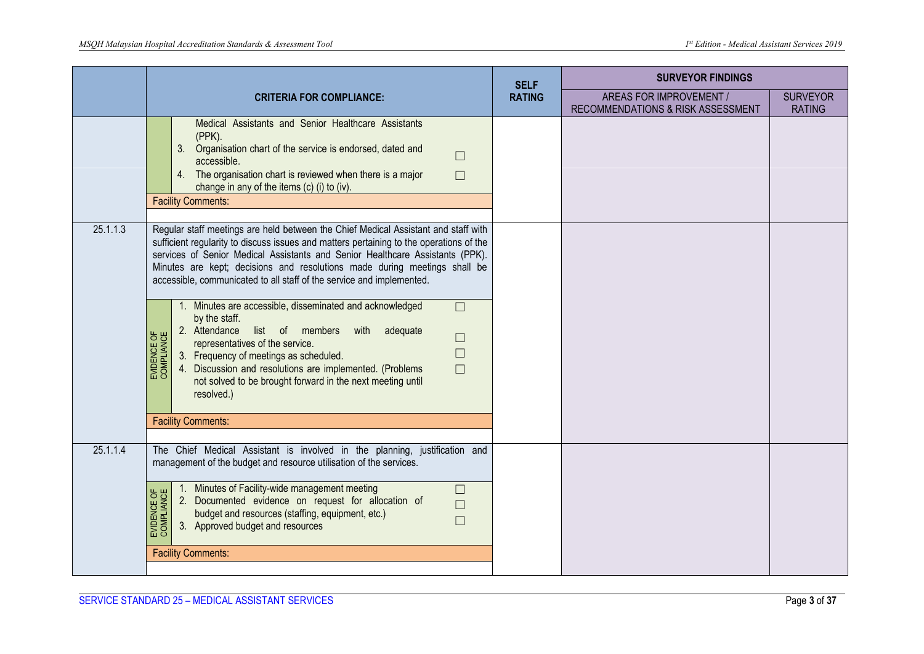|          |                                                                                                                                                                                                                                                                                                                                                                                                                      | <b>SELF</b>   | <b>SURVEYOR FINDINGS</b>                                            |                                  |
|----------|----------------------------------------------------------------------------------------------------------------------------------------------------------------------------------------------------------------------------------------------------------------------------------------------------------------------------------------------------------------------------------------------------------------------|---------------|---------------------------------------------------------------------|----------------------------------|
|          | <b>CRITERIA FOR COMPLIANCE:</b>                                                                                                                                                                                                                                                                                                                                                                                      | <b>RATING</b> | <b>AREAS FOR IMPROVEMENT /</b><br>RECOMMENDATIONS & RISK ASSESSMENT | <b>SURVEYOR</b><br><b>RATING</b> |
|          | Medical Assistants and Senior Healthcare Assistants<br>(PPK).<br>3. Organisation chart of the service is endorsed, dated and<br>$\Box$<br>accessible.<br>4. The organisation chart is reviewed when there is a major<br>$\Box$<br>change in any of the items (c) (i) to (iv).<br><b>Facility Comments:</b>                                                                                                           |               |                                                                     |                                  |
| 25.1.1.3 | Regular staff meetings are held between the Chief Medical Assistant and staff with<br>sufficient regularity to discuss issues and matters pertaining to the operations of the<br>services of Senior Medical Assistants and Senior Healthcare Assistants (PPK).<br>Minutes are kept; decisions and resolutions made during meetings shall be<br>accessible, communicated to all staff of the service and implemented. |               |                                                                     |                                  |
|          | 1. Minutes are accessible, disseminated and acknowledged<br>$\Box$<br>by the staff.<br>2. Attendance list of members with adequate<br>EVIDENCE OF<br>COMPLIANCE<br>$\Box$<br>representatives of the service.<br>$\Box$<br>3. Frequency of meetings as scheduled.<br>4. Discussion and resolutions are implemented. (Problems<br>$\Box$<br>not solved to be brought forward in the next meeting until<br>resolved.)   |               |                                                                     |                                  |
|          | <b>Facility Comments:</b>                                                                                                                                                                                                                                                                                                                                                                                            |               |                                                                     |                                  |
| 25.1.1.4 | The Chief Medical Assistant is involved in the planning, justification and<br>management of the budget and resource utilisation of the services.                                                                                                                                                                                                                                                                     |               |                                                                     |                                  |
|          | 1. Minutes of Facility-wide management meeting<br>$\Box$<br>EVIDENCE OF<br>COMPLIANCE<br>2. Documented evidence on request for allocation of<br>$\Box$<br>budget and resources (staffing, equipment, etc.)<br>$\Box$<br>3. Approved budget and resources                                                                                                                                                             |               |                                                                     |                                  |
|          | <b>Facility Comments:</b>                                                                                                                                                                                                                                                                                                                                                                                            |               |                                                                     |                                  |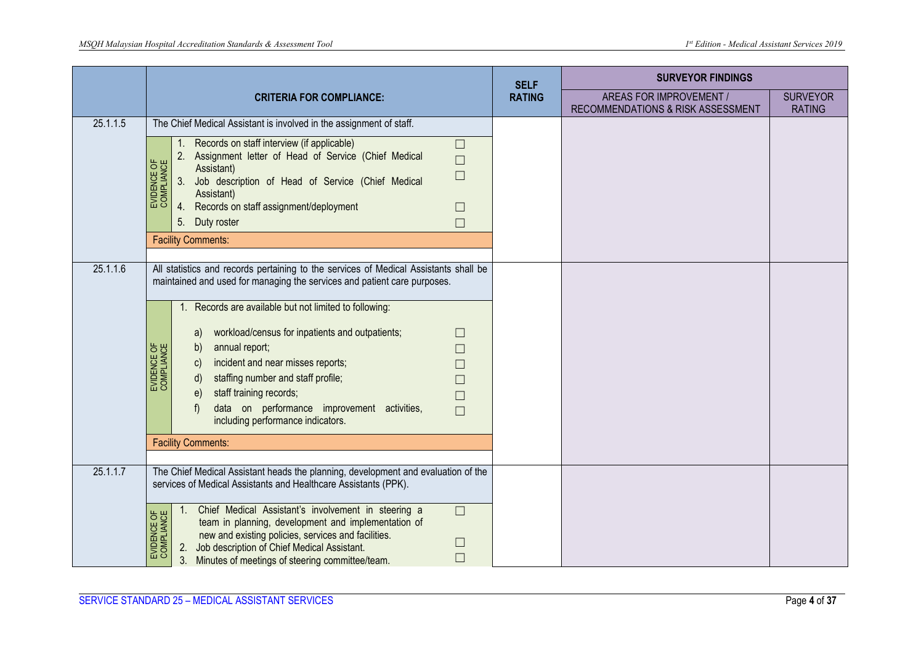|          | <b>CRITERIA FOR COMPLIANCE:</b>                                                                                                                                                                                                                                                                                                                                                                                                                                                                                                                                                                                                                         |  | <b>SURVEYOR FINDINGS</b>                                     |                                  |
|----------|---------------------------------------------------------------------------------------------------------------------------------------------------------------------------------------------------------------------------------------------------------------------------------------------------------------------------------------------------------------------------------------------------------------------------------------------------------------------------------------------------------------------------------------------------------------------------------------------------------------------------------------------------------|--|--------------------------------------------------------------|----------------------------------|
|          |                                                                                                                                                                                                                                                                                                                                                                                                                                                                                                                                                                                                                                                         |  | AREAS FOR IMPROVEMENT /<br>RECOMMENDATIONS & RISK ASSESSMENT | <b>SURVEYOR</b><br><b>RATING</b> |
| 25.1.1.5 | The Chief Medical Assistant is involved in the assignment of staff.                                                                                                                                                                                                                                                                                                                                                                                                                                                                                                                                                                                     |  |                                                              |                                  |
|          | Records on staff interview (if applicable)<br>$\Box$<br>Assignment letter of Head of Service (Chief Medical<br>2.<br>$\Box$<br>EVIDENCE OF<br>COMPLIANCE<br>Assistant)<br>$\Box$<br>3.<br>Job description of Head of Service (Chief Medical<br>Assistant)<br>Records on staff assignment/deployment<br>4.<br>$\Box$<br>5. Duty roster<br>$\Box$<br><b>Facility Comments:</b>                                                                                                                                                                                                                                                                            |  |                                                              |                                  |
| 25.1.1.6 | All statistics and records pertaining to the services of Medical Assistants shall be<br>maintained and used for managing the services and patient care purposes.<br>Records are available but not limited to following:<br>$1_{\cdot}$<br>workload/census for inpatients and outpatients;<br>a)<br>$\Box$<br>EVIDENCE OF<br>COMPLIANCE<br>annual report;<br>b)<br>П<br>incident and near misses reports;<br>C)<br>staffing number and staff profile;<br>d)<br>$\Box$<br>staff training records;<br>$\epsilon$<br>$\Box$<br>data on performance improvement activities,<br>f<br>$\Box$<br>including performance indicators.<br><b>Facility Comments:</b> |  |                                                              |                                  |
| 25.1.1.7 | The Chief Medical Assistant heads the planning, development and evaluation of the<br>services of Medical Assistants and Healthcare Assistants (PPK).<br>Chief Medical Assistant's involvement in steering a<br>$\Box$<br>1 <sub>1</sub><br><b>JENCE OF</b><br><b><i>RELIANCE</i></b><br>team in planning, development and implementation of<br>new and existing policies, services and facilities.<br>$\Box$<br>EVIDE<br>COMI<br>Job description of Chief Medical Assistant.<br>2.<br>$\Box$<br>3.<br>Minutes of meetings of steering committee/team.                                                                                                   |  |                                                              |                                  |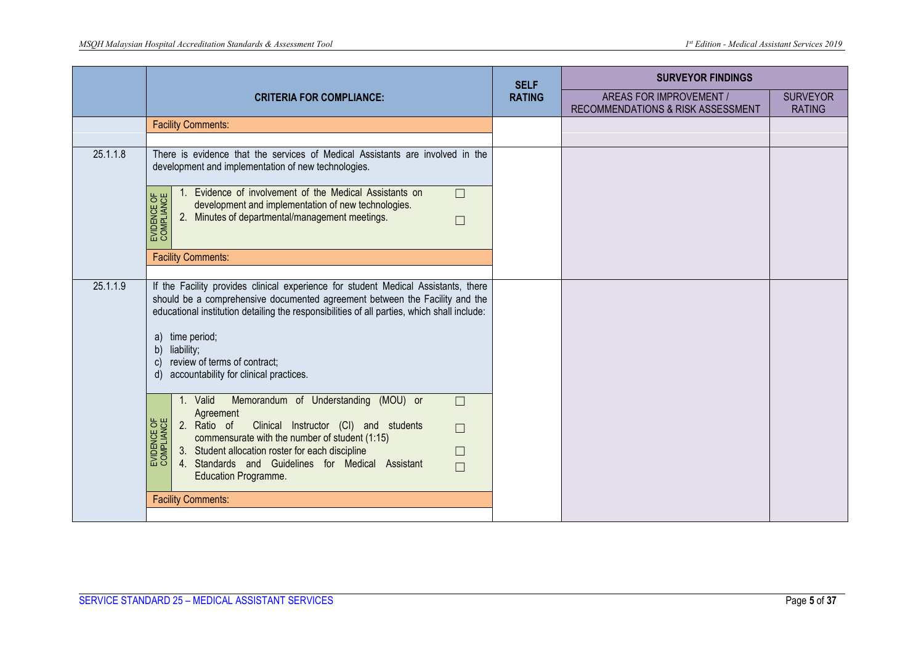|          |                                                                                                                                                                                                                                                                                                                                                                                                            | <b>SELF</b>   | <b>SURVEYOR FINDINGS</b>                                     |                                  |
|----------|------------------------------------------------------------------------------------------------------------------------------------------------------------------------------------------------------------------------------------------------------------------------------------------------------------------------------------------------------------------------------------------------------------|---------------|--------------------------------------------------------------|----------------------------------|
|          | <b>CRITERIA FOR COMPLIANCE:</b>                                                                                                                                                                                                                                                                                                                                                                            | <b>RATING</b> | AREAS FOR IMPROVEMENT /<br>RECOMMENDATIONS & RISK ASSESSMENT | <b>SURVEYOR</b><br><b>RATING</b> |
|          | <b>Facility Comments:</b>                                                                                                                                                                                                                                                                                                                                                                                  |               |                                                              |                                  |
|          | There is evidence that the services of Medical Assistants are involved in the                                                                                                                                                                                                                                                                                                                              |               |                                                              |                                  |
| 25.1.1.8 | development and implementation of new technologies.                                                                                                                                                                                                                                                                                                                                                        |               |                                                              |                                  |
|          | 1. Evidence of involvement of the Medical Assistants on<br>$\Box$<br>EVIDENCE OF<br>COMPLIANCE<br>development and implementation of new technologies.<br>2. Minutes of departmental/management meetings.<br>$\Box$                                                                                                                                                                                         |               |                                                              |                                  |
|          | <b>Facility Comments:</b>                                                                                                                                                                                                                                                                                                                                                                                  |               |                                                              |                                  |
|          |                                                                                                                                                                                                                                                                                                                                                                                                            |               |                                                              |                                  |
| 25.1.1.9 | If the Facility provides clinical experience for student Medical Assistants, there<br>should be a comprehensive documented agreement between the Facility and the<br>educational institution detailing the responsibilities of all parties, which shall include:<br>time period;<br>a)<br>liability;<br>b)<br>review of terms of contract;<br>$\mathsf{C}$<br>accountability for clinical practices.<br>d) |               |                                                              |                                  |
|          | Memorandum of Understanding (MOU) or<br>1. Valid<br>$\Box$<br>Agreement<br>EVIDENCE OF<br>COMPLIANCE<br>2. Ratio of<br>Clinical Instructor (CI) and students<br>$\Box$<br>commensurate with the number of student (1:15)<br>3. Student allocation roster for each discipline<br>$\Box$<br>4. Standards and Guidelines for Medical Assistant<br>$\Box$<br>Education Programme.                              |               |                                                              |                                  |
|          | <b>Facility Comments:</b>                                                                                                                                                                                                                                                                                                                                                                                  |               |                                                              |                                  |
|          |                                                                                                                                                                                                                                                                                                                                                                                                            |               |                                                              |                                  |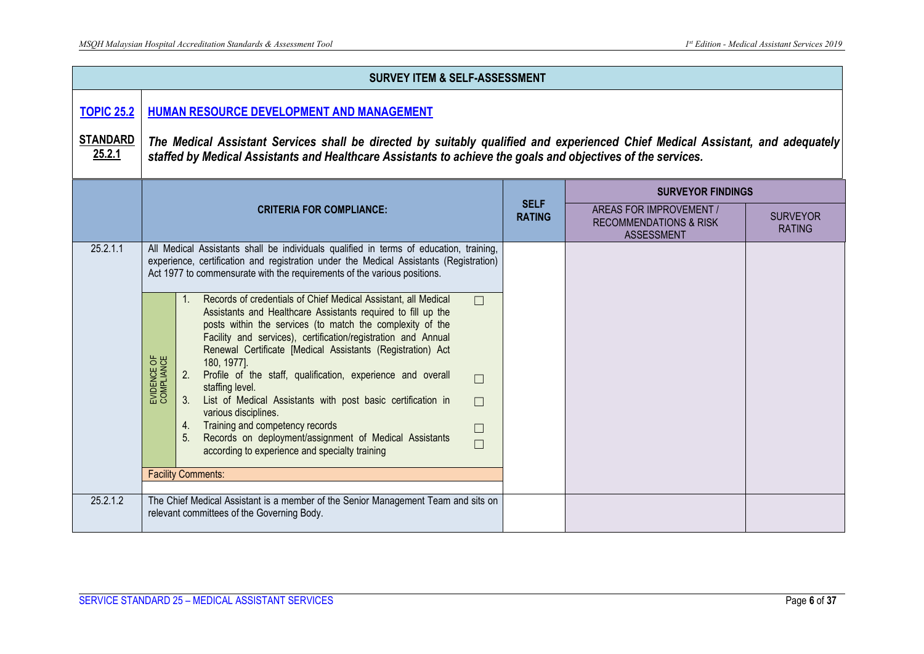|                                                | <b>SURVEY ITEM &amp; SELF-ASSESSMENT</b>                                                                                                                                                                                                                                                                                                                                                                                                                                                                                                                                                                                                                                                                                                                                                                                                                                                                                                                                                                                                                  |  |                                                                                   |                                  |  |  |  |
|------------------------------------------------|-----------------------------------------------------------------------------------------------------------------------------------------------------------------------------------------------------------------------------------------------------------------------------------------------------------------------------------------------------------------------------------------------------------------------------------------------------------------------------------------------------------------------------------------------------------------------------------------------------------------------------------------------------------------------------------------------------------------------------------------------------------------------------------------------------------------------------------------------------------------------------------------------------------------------------------------------------------------------------------------------------------------------------------------------------------|--|-----------------------------------------------------------------------------------|----------------------------------|--|--|--|
| <b>TOPIC 25.2</b><br><b>STANDARD</b><br>25.2.1 | HUMAN RESOURCE DEVELOPMENT AND MANAGEMENT<br>The Medical Assistant Services shall be directed by suitably qualified and experienced Chief Medical Assistant, and adequately<br>staffed by Medical Assistants and Healthcare Assistants to achieve the goals and objectives of the services.                                                                                                                                                                                                                                                                                                                                                                                                                                                                                                                                                                                                                                                                                                                                                               |  |                                                                                   |                                  |  |  |  |
|                                                | <b>SURVEYOR FINDINGS</b>                                                                                                                                                                                                                                                                                                                                                                                                                                                                                                                                                                                                                                                                                                                                                                                                                                                                                                                                                                                                                                  |  |                                                                                   |                                  |  |  |  |
|                                                | <b>CRITERIA FOR COMPLIANCE:</b>                                                                                                                                                                                                                                                                                                                                                                                                                                                                                                                                                                                                                                                                                                                                                                                                                                                                                                                                                                                                                           |  | AREAS FOR IMPROVEMENT /<br><b>RECOMMENDATIONS &amp; RISK</b><br><b>ASSESSMENT</b> | <b>SURVEYOR</b><br><b>RATING</b> |  |  |  |
| 25.2.1.1                                       | All Medical Assistants shall be individuals qualified in terms of education, training,<br>experience, certification and registration under the Medical Assistants (Registration)<br>Act 1977 to commensurate with the requirements of the various positions.<br>1. Records of credentials of Chief Medical Assistant, all Medical<br>$\Box$<br>Assistants and Healthcare Assistants required to fill up the<br>posts within the services (to match the complexity of the<br>Facility and services), certification/registration and Annual<br>Renewal Certificate [Medical Assistants (Registration) Act<br>EVIDENCE OF<br>COMPLIANCE<br>180, 1977].<br>Profile of the staff, qualification, experience and overall<br>2.<br>$\Box$<br>staffing level.<br>List of Medical Assistants with post basic certification in<br>$\Box$<br>various disciplines.<br>4. Training and competency records<br>$\Box$<br>Records on deployment/assignment of Medical Assistants<br>$\Box$<br>according to experience and specialty training<br><b>Facility Comments:</b> |  |                                                                                   |                                  |  |  |  |
| 25.2.1.2                                       | The Chief Medical Assistant is a member of the Senior Management Team and sits on<br>relevant committees of the Governing Body.                                                                                                                                                                                                                                                                                                                                                                                                                                                                                                                                                                                                                                                                                                                                                                                                                                                                                                                           |  |                                                                                   |                                  |  |  |  |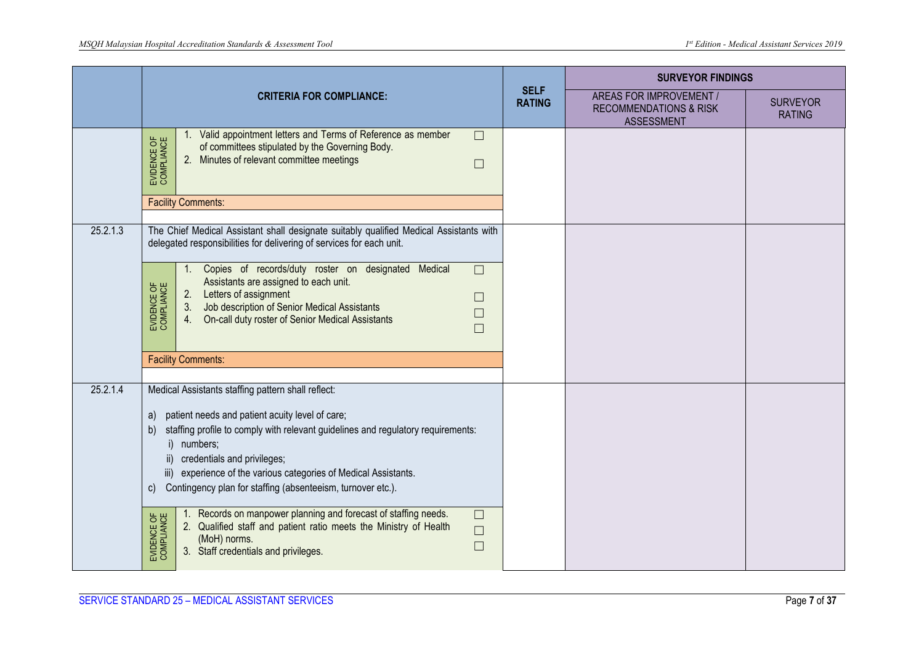|          |                                                                                                                                                                                                                                                                                                                                                                                                                                                                                                                                                                                                                                                                 |                              | <b>SURVEYOR FINDINGS</b>                                                          |                                  |
|----------|-----------------------------------------------------------------------------------------------------------------------------------------------------------------------------------------------------------------------------------------------------------------------------------------------------------------------------------------------------------------------------------------------------------------------------------------------------------------------------------------------------------------------------------------------------------------------------------------------------------------------------------------------------------------|------------------------------|-----------------------------------------------------------------------------------|----------------------------------|
|          | <b>CRITERIA FOR COMPLIANCE:</b>                                                                                                                                                                                                                                                                                                                                                                                                                                                                                                                                                                                                                                 | <b>SELF</b><br><b>RATING</b> | AREAS FOR IMPROVEMENT /<br><b>RECOMMENDATIONS &amp; RISK</b><br><b>ASSESSMENT</b> | <b>SURVEYOR</b><br><b>RATING</b> |
|          | 1. Valid appointment letters and Terms of Reference as member<br>$\Box$<br>EVIDENCE OF<br>COMPLIANCE<br>of committees stipulated by the Governing Body.<br>2. Minutes of relevant committee meetings<br>$\Box$                                                                                                                                                                                                                                                                                                                                                                                                                                                  |                              |                                                                                   |                                  |
|          | <b>Facility Comments:</b>                                                                                                                                                                                                                                                                                                                                                                                                                                                                                                                                                                                                                                       |                              |                                                                                   |                                  |
| 25.2.1.3 | The Chief Medical Assistant shall designate suitably qualified Medical Assistants with<br>delegated responsibilities for delivering of services for each unit.<br>1. Copies of records/duty roster on designated Medical<br>$\Box$<br>Assistants are assigned to each unit.<br>EVIDENCE OF<br>COMPLIANCE<br>2. Letters of assignment<br>$\Box$<br>3. Job description of Senior Medical Assistants<br>4. On-call duty roster of Senior Medical Assistants                                                                                                                                                                                                        |                              |                                                                                   |                                  |
|          | $\Box$<br><b>Facility Comments:</b>                                                                                                                                                                                                                                                                                                                                                                                                                                                                                                                                                                                                                             |                              |                                                                                   |                                  |
| 25.2.1.4 | Medical Assistants staffing pattern shall reflect:<br>a) patient needs and patient acuity level of care;<br>staffing profile to comply with relevant guidelines and regulatory requirements:<br>b)<br>i) numbers;<br>ii) credentials and privileges;<br>iii) experience of the various categories of Medical Assistants.<br>Contingency plan for staffing (absenteeism, turnover etc.).<br>$\mathsf{C}$<br>Records on manpower planning and forecast of staffing needs.<br>$\Box$<br>EVIDENCE OF<br>COMPLIANCE<br>2. Qualified staff and patient ratio meets the Ministry of Health<br>$\Box$<br>(MoH) norms.<br>$\Box$<br>3. Staff credentials and privileges. |                              |                                                                                   |                                  |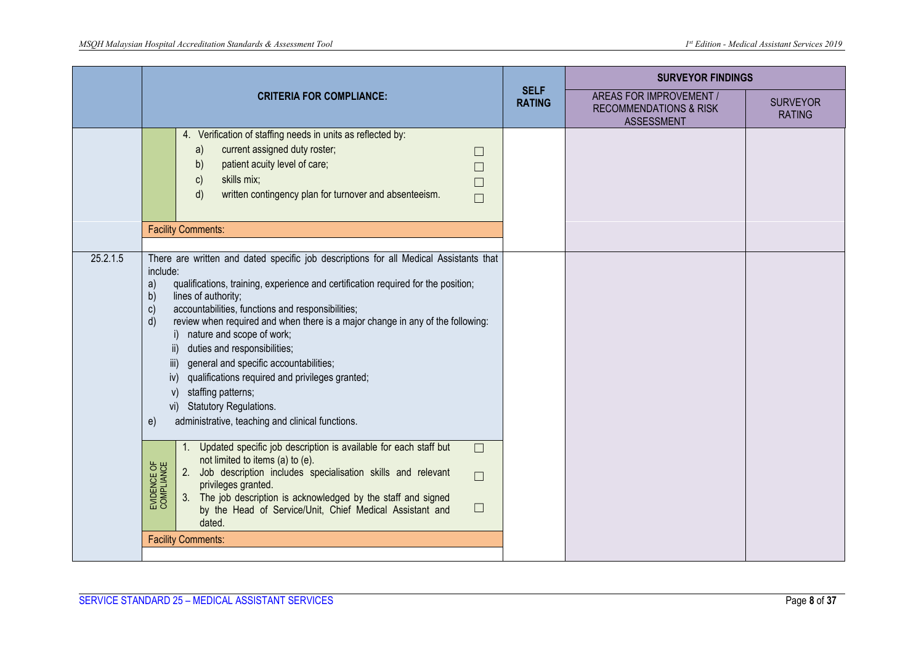|          | <b>CRITERIA FOR COMPLIANCE:</b>                                                                                                                                                                                                                                                                                                                                                                                                                                                                                                                                                                                   |  | <b>SURVEYOR FINDINGS</b>                                                          |                                  |
|----------|-------------------------------------------------------------------------------------------------------------------------------------------------------------------------------------------------------------------------------------------------------------------------------------------------------------------------------------------------------------------------------------------------------------------------------------------------------------------------------------------------------------------------------------------------------------------------------------------------------------------|--|-----------------------------------------------------------------------------------|----------------------------------|
|          |                                                                                                                                                                                                                                                                                                                                                                                                                                                                                                                                                                                                                   |  | AREAS FOR IMPROVEMENT /<br><b>RECOMMENDATIONS &amp; RISK</b><br><b>ASSESSMENT</b> | <b>SURVEYOR</b><br><b>RATING</b> |
|          | 4. Verification of staffing needs in units as reflected by:<br>current assigned duty roster;<br>a)<br>$\Box$<br>patient acuity level of care;<br>b)<br>skills mix;<br>C)<br>П<br>written contingency plan for turnover and absenteeism.<br>d)<br>П<br><b>Facility Comments:</b>                                                                                                                                                                                                                                                                                                                                   |  |                                                                                   |                                  |
| 25.2.1.5 | There are written and dated specific job descriptions for all Medical Assistants that                                                                                                                                                                                                                                                                                                                                                                                                                                                                                                                             |  |                                                                                   |                                  |
|          | include:<br>qualifications, training, experience and certification required for the position;<br>a)<br>lines of authority;<br>$\mathsf{b}$<br>accountabilities, functions and responsibilities;<br>$\mathbf{c}$<br>review when required and when there is a major change in any of the following:<br>d)<br>i) nature and scope of work;<br>duties and responsibilities;<br>general and specific accountabilities;<br>iii)<br>qualifications required and privileges granted;<br>iv)<br>staffing patterns;<br>V)<br><b>Statutory Regulations.</b><br>vi)<br>administrative, teaching and clinical functions.<br>e) |  |                                                                                   |                                  |
|          | Updated specific job description is available for each staff but<br>$\Box$<br>not limited to items (a) to (e).<br>EVIDENCE OF<br>COMPLIANCE<br>2. Job description includes specialisation skills and relevant<br>$\Box$<br>privileges granted.<br>3. The job description is acknowledged by the staff and signed<br>$\Box$<br>by the Head of Service/Unit, Chief Medical Assistant and<br>dated.                                                                                                                                                                                                                  |  |                                                                                   |                                  |
|          | <b>Facility Comments:</b>                                                                                                                                                                                                                                                                                                                                                                                                                                                                                                                                                                                         |  |                                                                                   |                                  |
|          |                                                                                                                                                                                                                                                                                                                                                                                                                                                                                                                                                                                                                   |  |                                                                                   |                                  |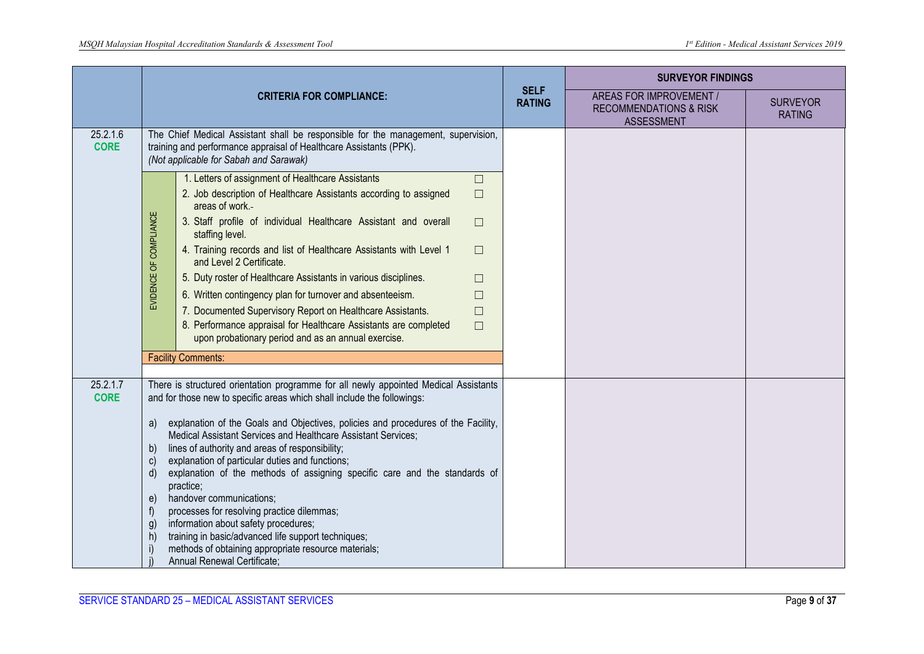|                                                                                                                                                                                                                                                                                                                                                                                                                                                                                                                                                                                                                                                                                                                                                                                                                                                                                   | <b>CRITERIA FOR COMPLIANCE:</b>                                                                                                                                                                   |                                                                                                                                   |                              | <b>SURVEYOR FINDINGS</b>                                                          |                                  |
|-----------------------------------------------------------------------------------------------------------------------------------------------------------------------------------------------------------------------------------------------------------------------------------------------------------------------------------------------------------------------------------------------------------------------------------------------------------------------------------------------------------------------------------------------------------------------------------------------------------------------------------------------------------------------------------------------------------------------------------------------------------------------------------------------------------------------------------------------------------------------------------|---------------------------------------------------------------------------------------------------------------------------------------------------------------------------------------------------|-----------------------------------------------------------------------------------------------------------------------------------|------------------------------|-----------------------------------------------------------------------------------|----------------------------------|
|                                                                                                                                                                                                                                                                                                                                                                                                                                                                                                                                                                                                                                                                                                                                                                                                                                                                                   |                                                                                                                                                                                                   |                                                                                                                                   | <b>SELF</b><br><b>RATING</b> | AREAS FOR IMPROVEMENT /<br><b>RECOMMENDATIONS &amp; RISK</b><br><b>ASSESSMENT</b> | <b>SURVEYOR</b><br><b>RATING</b> |
| 25.2.1.6<br><b>CORE</b>                                                                                                                                                                                                                                                                                                                                                                                                                                                                                                                                                                                                                                                                                                                                                                                                                                                           | The Chief Medical Assistant shall be responsible for the management, supervision,<br>training and performance appraisal of Healthcare Assistants (PPK).<br>(Not applicable for Sabah and Sarawak) |                                                                                                                                   |                              |                                                                                   |                                  |
|                                                                                                                                                                                                                                                                                                                                                                                                                                                                                                                                                                                                                                                                                                                                                                                                                                                                                   |                                                                                                                                                                                                   | 1. Letters of assignment of Healthcare Assistants<br>$\Box$                                                                       |                              |                                                                                   |                                  |
|                                                                                                                                                                                                                                                                                                                                                                                                                                                                                                                                                                                                                                                                                                                                                                                                                                                                                   |                                                                                                                                                                                                   | 2. Job description of Healthcare Assistants according to assigned<br>$\Box$<br>areas of work.-                                    |                              |                                                                                   |                                  |
|                                                                                                                                                                                                                                                                                                                                                                                                                                                                                                                                                                                                                                                                                                                                                                                                                                                                                   |                                                                                                                                                                                                   | 3. Staff profile of individual Healthcare Assistant and overall<br>$\Box$<br>staffing level.                                      |                              |                                                                                   |                                  |
|                                                                                                                                                                                                                                                                                                                                                                                                                                                                                                                                                                                                                                                                                                                                                                                                                                                                                   | EVIDENCE OF COMPLIANCE                                                                                                                                                                            | 4. Training records and list of Healthcare Assistants with Level 1<br>$\Box$<br>and Level 2 Certificate.                          |                              |                                                                                   |                                  |
|                                                                                                                                                                                                                                                                                                                                                                                                                                                                                                                                                                                                                                                                                                                                                                                                                                                                                   |                                                                                                                                                                                                   | 5. Duty roster of Healthcare Assistants in various disciplines.<br>$\Box$                                                         |                              |                                                                                   |                                  |
|                                                                                                                                                                                                                                                                                                                                                                                                                                                                                                                                                                                                                                                                                                                                                                                                                                                                                   |                                                                                                                                                                                                   | 6. Written contingency plan for turnover and absenteeism.<br>П                                                                    |                              |                                                                                   |                                  |
|                                                                                                                                                                                                                                                                                                                                                                                                                                                                                                                                                                                                                                                                                                                                                                                                                                                                                   |                                                                                                                                                                                                   | 7. Documented Supervisory Report on Healthcare Assistants.<br>$\Box$                                                              |                              |                                                                                   |                                  |
|                                                                                                                                                                                                                                                                                                                                                                                                                                                                                                                                                                                                                                                                                                                                                                                                                                                                                   |                                                                                                                                                                                                   | 8. Performance appraisal for Healthcare Assistants are completed<br>$\Box$<br>upon probationary period and as an annual exercise. |                              |                                                                                   |                                  |
|                                                                                                                                                                                                                                                                                                                                                                                                                                                                                                                                                                                                                                                                                                                                                                                                                                                                                   |                                                                                                                                                                                                   | <b>Facility Comments:</b>                                                                                                         |                              |                                                                                   |                                  |
| 25.2.1.7<br>There is structured orientation programme for all newly appointed Medical Assistants<br><b>CORE</b><br>and for those new to specific areas which shall include the followings:<br>explanation of the Goals and Objectives, policies and procedures of the Facility,<br>a)<br>Medical Assistant Services and Healthcare Assistant Services;<br>lines of authority and areas of responsibility;<br>b)<br>explanation of particular duties and functions;<br>$\mathsf{C}$<br>explanation of the methods of assigning specific care and the standards of<br>d)<br>practice;<br>handover communications;<br>e)<br>processes for resolving practice dilemmas;<br>f<br>information about safety procedures;<br>g)<br>training in basic/advanced life support techniques;<br>$\vert$ h<br>methods of obtaining appropriate resource materials;<br>Annual Renewal Certificate; |                                                                                                                                                                                                   |                                                                                                                                   |                              |                                                                                   |                                  |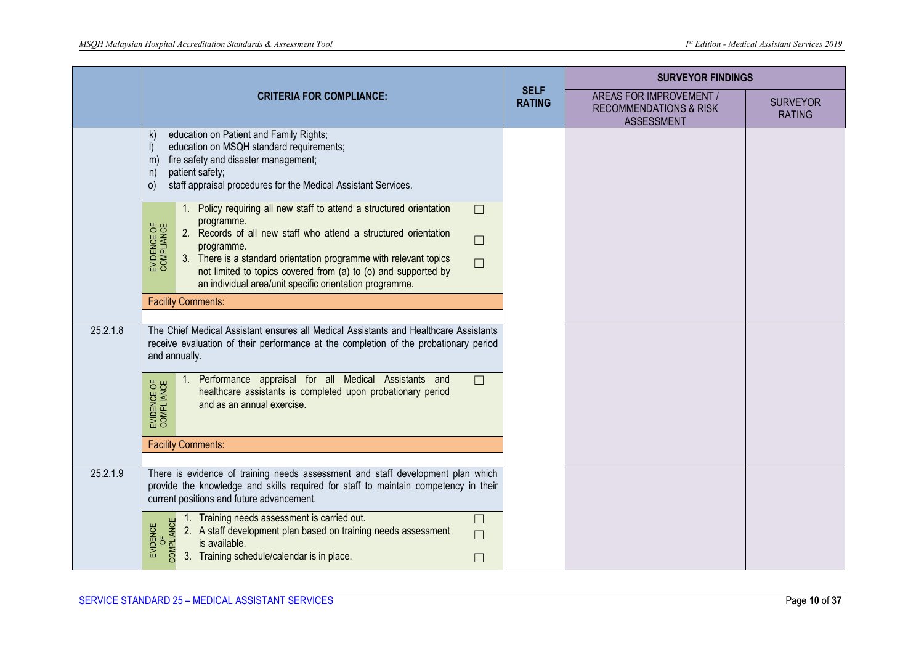|          | <b>CRITERIA FOR COMPLIANCE:</b>                                                                                                                                                                                                                                                                                                                                                                                                                                                                                                                                                                                                |  | <b>SURVEYOR FINDINGS</b>                                                          |                                  |
|----------|--------------------------------------------------------------------------------------------------------------------------------------------------------------------------------------------------------------------------------------------------------------------------------------------------------------------------------------------------------------------------------------------------------------------------------------------------------------------------------------------------------------------------------------------------------------------------------------------------------------------------------|--|-----------------------------------------------------------------------------------|----------------------------------|
|          |                                                                                                                                                                                                                                                                                                                                                                                                                                                                                                                                                                                                                                |  | AREAS FOR IMPROVEMENT /<br><b>RECOMMENDATIONS &amp; RISK</b><br><b>ASSESSMENT</b> | <b>SURVEYOR</b><br><b>RATING</b> |
|          | education on Patient and Family Rights;<br>$\mathsf{k}$<br>education on MSQH standard requirements;<br>fire safety and disaster management;<br>m<br>patient safety;<br>n<br>staff appraisal procedures for the Medical Assistant Services.<br>$\circ$<br>1. Policy requiring all new staff to attend a structured orientation<br>$\Box$<br>programme.<br>EVIDENCE OF<br>COMPLIANCE<br>2. Records of all new staff who attend a structured orientation<br>$\Box$<br>programme.<br>3. There is a standard orientation programme with relevant topics<br>$\Box$<br>not limited to topics covered from (a) to (o) and supported by |  |                                                                                   |                                  |
|          | an individual area/unit specific orientation programme.<br><b>Facility Comments:</b>                                                                                                                                                                                                                                                                                                                                                                                                                                                                                                                                           |  |                                                                                   |                                  |
| 25.2.1.8 | The Chief Medical Assistant ensures all Medical Assistants and Healthcare Assistants<br>receive evaluation of their performance at the completion of the probationary period<br>and annually.                                                                                                                                                                                                                                                                                                                                                                                                                                  |  |                                                                                   |                                  |
|          | Performance appraisal for all Medical Assistants and<br>$\Box$<br>1.<br>EVIDENCE OF<br>COMPLIANCE<br>healthcare assistants is completed upon probationary period<br>and as an annual exercise.                                                                                                                                                                                                                                                                                                                                                                                                                                 |  |                                                                                   |                                  |
|          | <b>Facility Comments:</b>                                                                                                                                                                                                                                                                                                                                                                                                                                                                                                                                                                                                      |  |                                                                                   |                                  |
| 25.2.1.9 | There is evidence of training needs assessment and staff development plan which<br>provide the knowledge and skills required for staff to maintain competency in their<br>current positions and future advancement.                                                                                                                                                                                                                                                                                                                                                                                                            |  |                                                                                   |                                  |
|          | Training needs assessment is carried out.<br>$\Box$<br>COMPLIANCE<br>EVIDENCE<br>2. A staff development plan based on training needs assessment<br>$\Box$<br>is available.<br>C<br>3. Training schedule/calendar is in place.<br>П                                                                                                                                                                                                                                                                                                                                                                                             |  |                                                                                   |                                  |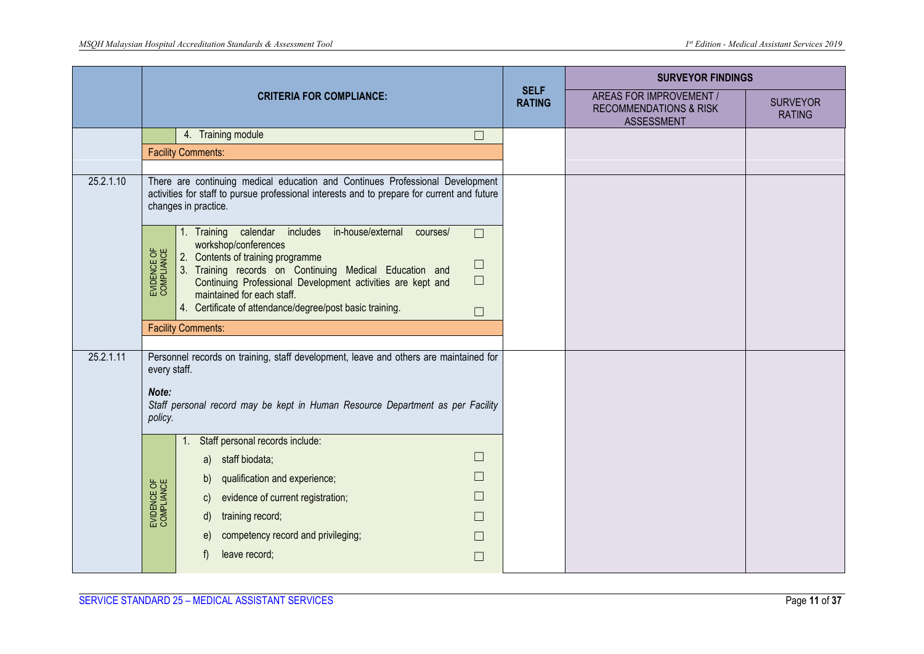|           | <b>CRITERIA FOR COMPLIANCE:</b>                                                                       |                                                                                                                                                                                                                                                                                                                                                                                              |                              | <b>SURVEYOR FINDINGS</b>                                                          |                                  |
|-----------|-------------------------------------------------------------------------------------------------------|----------------------------------------------------------------------------------------------------------------------------------------------------------------------------------------------------------------------------------------------------------------------------------------------------------------------------------------------------------------------------------------------|------------------------------|-----------------------------------------------------------------------------------|----------------------------------|
|           |                                                                                                       |                                                                                                                                                                                                                                                                                                                                                                                              | <b>SELF</b><br><b>RATING</b> | AREAS FOR IMPROVEMENT /<br><b>RECOMMENDATIONS &amp; RISK</b><br><b>ASSESSMENT</b> | <b>SURVEYOR</b><br><b>RATING</b> |
|           |                                                                                                       | 4. Training module<br>$\Box$                                                                                                                                                                                                                                                                                                                                                                 |                              |                                                                                   |                                  |
|           |                                                                                                       | <b>Facility Comments:</b>                                                                                                                                                                                                                                                                                                                                                                    |                              |                                                                                   |                                  |
| 25.2.1.10 |                                                                                                       | There are continuing medical education and Continues Professional Development<br>activities for staff to pursue professional interests and to prepare for current and future<br>changes in practice.                                                                                                                                                                                         |                              |                                                                                   |                                  |
|           | EVIDENCE OF<br>COMPLIANCE                                                                             | 1. Training calendar includes in-house/external courses/<br>$\Box$<br>workshop/conferences<br>2. Contents of training programme<br>$\Box$<br>Training records on Continuing Medical Education and<br>$\vert 3.$<br>$\Box$<br>Continuing Professional Development activities are kept and<br>maintained for each staff.<br>4. Certificate of attendance/degree/post basic training.<br>$\Box$ |                              |                                                                                   |                                  |
|           |                                                                                                       | <b>Facility Comments:</b>                                                                                                                                                                                                                                                                                                                                                                    |                              |                                                                                   |                                  |
| 25.2.1.11 | Personnel records on training, staff development, leave and others are maintained for<br>every staff. |                                                                                                                                                                                                                                                                                                                                                                                              |                              |                                                                                   |                                  |
|           | Note:<br>Staff personal record may be kept in Human Resource Department as per Facility<br>policy.    |                                                                                                                                                                                                                                                                                                                                                                                              |                              |                                                                                   |                                  |
|           |                                                                                                       | Staff personal records include:<br>a) staff biodata;                                                                                                                                                                                                                                                                                                                                         |                              |                                                                                   |                                  |
|           |                                                                                                       | qualification and experience;<br>b)                                                                                                                                                                                                                                                                                                                                                          |                              |                                                                                   |                                  |
|           | EVIDENCE OF<br>COMPLIANCE                                                                             | evidence of current registration;<br>$\mathsf{C}$                                                                                                                                                                                                                                                                                                                                            |                              |                                                                                   |                                  |
|           |                                                                                                       | training record;<br>d)                                                                                                                                                                                                                                                                                                                                                                       |                              |                                                                                   |                                  |
|           |                                                                                                       | competency record and privileging;<br>e)<br>L.                                                                                                                                                                                                                                                                                                                                               |                              |                                                                                   |                                  |
|           |                                                                                                       | leave record;<br>t)<br>$\Box$                                                                                                                                                                                                                                                                                                                                                                |                              |                                                                                   |                                  |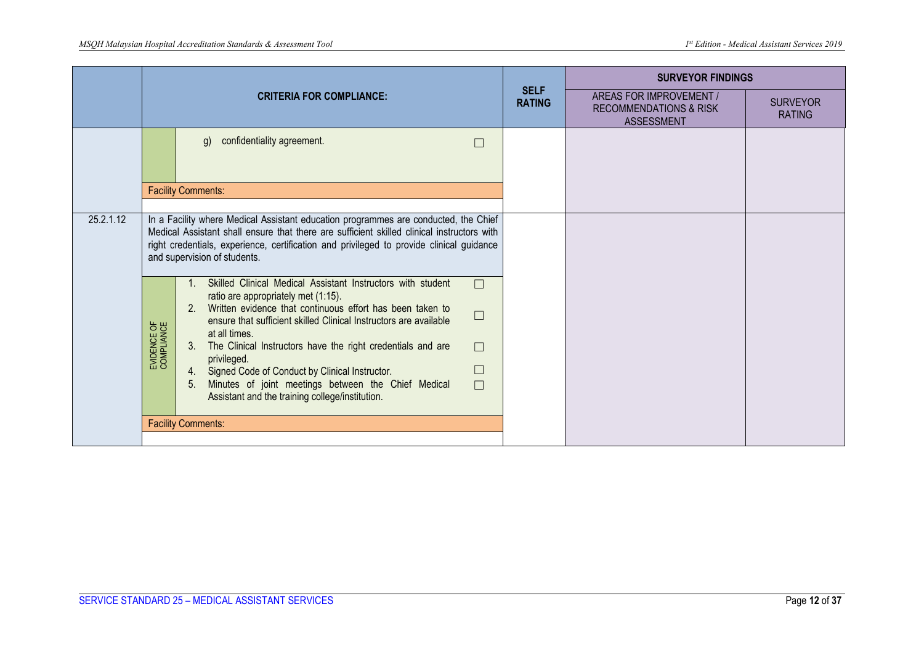|           | <b>CRITERIA FOR COMPLIANCE:</b> |                                                                                                                                                                                                                                                                                                                                                                                                                                                                                                                                                                                                                                                                                                                                                                                                                                                                                           |                              | <b>SURVEYOR FINDINGS</b>                                                          |                                  |
|-----------|---------------------------------|-------------------------------------------------------------------------------------------------------------------------------------------------------------------------------------------------------------------------------------------------------------------------------------------------------------------------------------------------------------------------------------------------------------------------------------------------------------------------------------------------------------------------------------------------------------------------------------------------------------------------------------------------------------------------------------------------------------------------------------------------------------------------------------------------------------------------------------------------------------------------------------------|------------------------------|-----------------------------------------------------------------------------------|----------------------------------|
|           |                                 |                                                                                                                                                                                                                                                                                                                                                                                                                                                                                                                                                                                                                                                                                                                                                                                                                                                                                           | <b>SELF</b><br><b>RATING</b> | AREAS FOR IMPROVEMENT /<br><b>RECOMMENDATIONS &amp; RISK</b><br><b>ASSESSMENT</b> | <b>SURVEYOR</b><br><b>RATING</b> |
|           |                                 | confidentiality agreement.<br>g)<br>$\Box$                                                                                                                                                                                                                                                                                                                                                                                                                                                                                                                                                                                                                                                                                                                                                                                                                                                |                              |                                                                                   |                                  |
|           |                                 | <b>Facility Comments:</b>                                                                                                                                                                                                                                                                                                                                                                                                                                                                                                                                                                                                                                                                                                                                                                                                                                                                 |                              |                                                                                   |                                  |
| 25.2.1.12 | EVIDENCE OF<br>COMPLIANCE       | In a Facility where Medical Assistant education programmes are conducted, the Chief<br>Medical Assistant shall ensure that there are sufficient skilled clinical instructors with<br>right credentials, experience, certification and privileged to provide clinical guidance<br>and supervision of students.<br>Skilled Clinical Medical Assistant Instructors with student<br>$\Box$<br>ratio are appropriately met (1:15).<br>Written evidence that continuous effort has been taken to<br>$2^{1}$<br>$\Box$<br>ensure that sufficient skilled Clinical Instructors are available<br>at all times.<br>3. The Clinical Instructors have the right credentials and are<br>$\Box$<br>privileged.<br>$\Box$<br>4. Signed Code of Conduct by Clinical Instructor.<br>Minutes of joint meetings between the Chief Medical<br>5.<br>$\Box$<br>Assistant and the training college/institution. |                              |                                                                                   |                                  |
|           |                                 | <b>Facility Comments:</b>                                                                                                                                                                                                                                                                                                                                                                                                                                                                                                                                                                                                                                                                                                                                                                                                                                                                 |                              |                                                                                   |                                  |
|           |                                 |                                                                                                                                                                                                                                                                                                                                                                                                                                                                                                                                                                                                                                                                                                                                                                                                                                                                                           |                              |                                                                                   |                                  |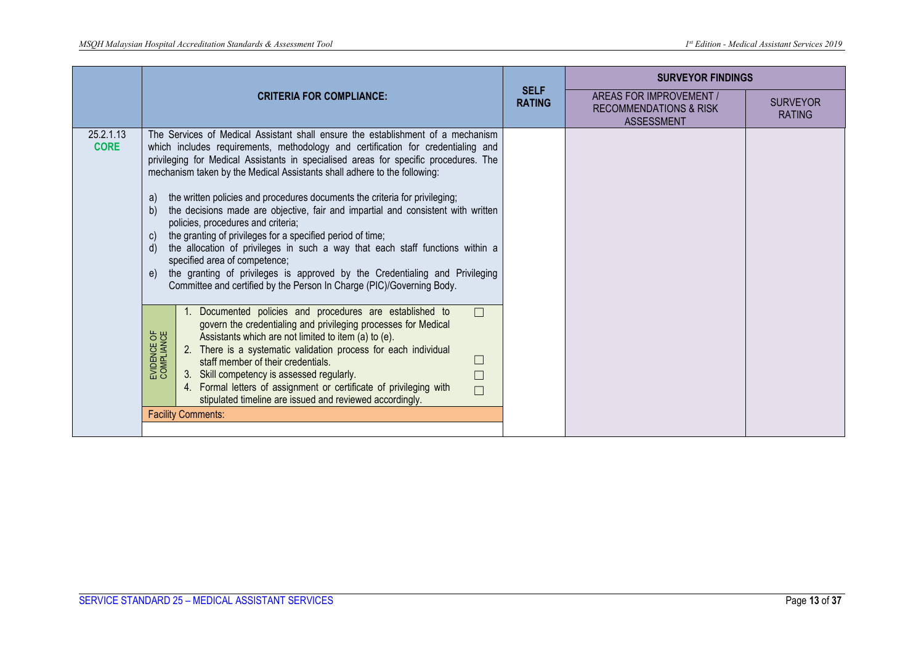|                          |                                                                                                                                                                                                                                                                                                                                                                                                                                                                                                                                                                                                                                                                                                                                                                                                                                                                                                                        |                              | <b>SURVEYOR FINDINGS</b>                                                          |                                  |
|--------------------------|------------------------------------------------------------------------------------------------------------------------------------------------------------------------------------------------------------------------------------------------------------------------------------------------------------------------------------------------------------------------------------------------------------------------------------------------------------------------------------------------------------------------------------------------------------------------------------------------------------------------------------------------------------------------------------------------------------------------------------------------------------------------------------------------------------------------------------------------------------------------------------------------------------------------|------------------------------|-----------------------------------------------------------------------------------|----------------------------------|
|                          | <b>CRITERIA FOR COMPLIANCE:</b>                                                                                                                                                                                                                                                                                                                                                                                                                                                                                                                                                                                                                                                                                                                                                                                                                                                                                        | <b>SELF</b><br><b>RATING</b> | AREAS FOR IMPROVEMENT /<br><b>RECOMMENDATIONS &amp; RISK</b><br><b>ASSESSMENT</b> | <b>SURVEYOR</b><br><b>RATING</b> |
| 25.2.1.13<br><b>CORE</b> | The Services of Medical Assistant shall ensure the establishment of a mechanism<br>which includes requirements, methodology and certification for credentialing and<br>privileging for Medical Assistants in specialised areas for specific procedures. The<br>mechanism taken by the Medical Assistants shall adhere to the following:<br>the written policies and procedures documents the criteria for privileging;<br>a)<br>the decisions made are objective, fair and impartial and consistent with written<br>b)<br>policies, procedures and criteria;<br>the granting of privileges for a specified period of time;<br>C)<br>the allocation of privileges in such a way that each staff functions within a<br>d)<br>specified area of competence;<br>the granting of privileges is approved by the Credentialing and Privileging<br>e)<br>Committee and certified by the Person In Charge (PIC)/Governing Body. |                              |                                                                                   |                                  |
|                          | 1. Documented policies and procedures are established to<br>$\Box$<br>govern the credentialing and privileging processes for Medical<br>EVIDENCE OF<br>COMPLIANCE<br>Assistants which are not limited to item (a) to (e).<br>2. There is a systematic validation process for each individual<br>staff member of their credentials.<br>3. Skill competency is assessed regularly.<br>4. Formal letters of assignment or certificate of privileging with<br>$\Box$<br>stipulated timeline are issued and reviewed accordingly.                                                                                                                                                                                                                                                                                                                                                                                           |                              |                                                                                   |                                  |
|                          | <b>Facility Comments:</b>                                                                                                                                                                                                                                                                                                                                                                                                                                                                                                                                                                                                                                                                                                                                                                                                                                                                                              |                              |                                                                                   |                                  |
|                          |                                                                                                                                                                                                                                                                                                                                                                                                                                                                                                                                                                                                                                                                                                                                                                                                                                                                                                                        |                              |                                                                                   |                                  |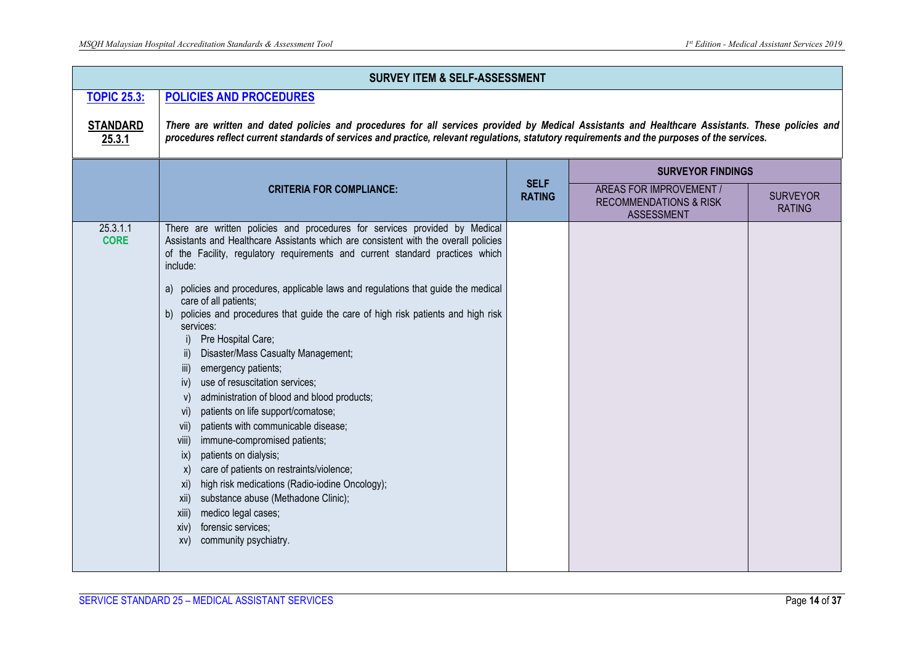|                           | <b>SURVEY ITEM &amp; SELF-ASSESSMENT</b>                                                                                                                                                                                                                                                                                                                                                                                                                                                                                                                                                                                                                                                                                                                                                                                                                                                                                                                                                                                                                                                                                      |                              |                                                                                   |                                  |  |
|---------------------------|-------------------------------------------------------------------------------------------------------------------------------------------------------------------------------------------------------------------------------------------------------------------------------------------------------------------------------------------------------------------------------------------------------------------------------------------------------------------------------------------------------------------------------------------------------------------------------------------------------------------------------------------------------------------------------------------------------------------------------------------------------------------------------------------------------------------------------------------------------------------------------------------------------------------------------------------------------------------------------------------------------------------------------------------------------------------------------------------------------------------------------|------------------------------|-----------------------------------------------------------------------------------|----------------------------------|--|
| <b>TOPIC 25.3:</b>        | <b>POLICIES AND PROCEDURES</b>                                                                                                                                                                                                                                                                                                                                                                                                                                                                                                                                                                                                                                                                                                                                                                                                                                                                                                                                                                                                                                                                                                |                              |                                                                                   |                                  |  |
| <b>STANDARD</b><br>25.3.1 | There are written and dated policies and procedures for all services provided by Medical Assistants and Healthcare Assistants. These policies and<br>procedures reflect current standards of services and practice, relevant regulations, statutory requirements and the purposes of the services.                                                                                                                                                                                                                                                                                                                                                                                                                                                                                                                                                                                                                                                                                                                                                                                                                            |                              |                                                                                   |                                  |  |
|                           |                                                                                                                                                                                                                                                                                                                                                                                                                                                                                                                                                                                                                                                                                                                                                                                                                                                                                                                                                                                                                                                                                                                               |                              | <b>SURVEYOR FINDINGS</b>                                                          |                                  |  |
|                           | <b>CRITERIA FOR COMPLIANCE:</b>                                                                                                                                                                                                                                                                                                                                                                                                                                                                                                                                                                                                                                                                                                                                                                                                                                                                                                                                                                                                                                                                                               | <b>SELF</b><br><b>RATING</b> | AREAS FOR IMPROVEMENT /<br><b>RECOMMENDATIONS &amp; RISK</b><br><b>ASSESSMENT</b> | <b>SURVEYOR</b><br><b>RATING</b> |  |
| 25.3.1.1<br><b>CORE</b>   | There are written policies and procedures for services provided by Medical<br>Assistants and Healthcare Assistants which are consistent with the overall policies<br>of the Facility, regulatory requirements and current standard practices which<br>include:<br>a) policies and procedures, applicable laws and regulations that guide the medical<br>care of all patients;<br>b) policies and procedures that guide the care of high risk patients and high risk<br>services:<br>Pre Hospital Care;<br>$\vert$ )<br>Disaster/Mass Casualty Management;<br>emergency patients;<br>iii)<br>use of resuscitation services;<br>iv)<br>administration of blood and blood products;<br>V)<br>patients on life support/comatose;<br>vi)<br>patients with communicable disease;<br>Vii)<br>immune-compromised patients;<br>viii)<br>patients on dialysis;<br>$\mathsf{ix}$<br>care of patients on restraints/violence;<br>X)<br>high risk medications (Radio-iodine Oncology);<br>XI)<br>substance abuse (Methadone Clinic);<br>xii)<br>medico legal cases;<br>xiii)<br>forensic services;<br>xiv)<br>community psychiatry.<br>XV) |                              |                                                                                   |                                  |  |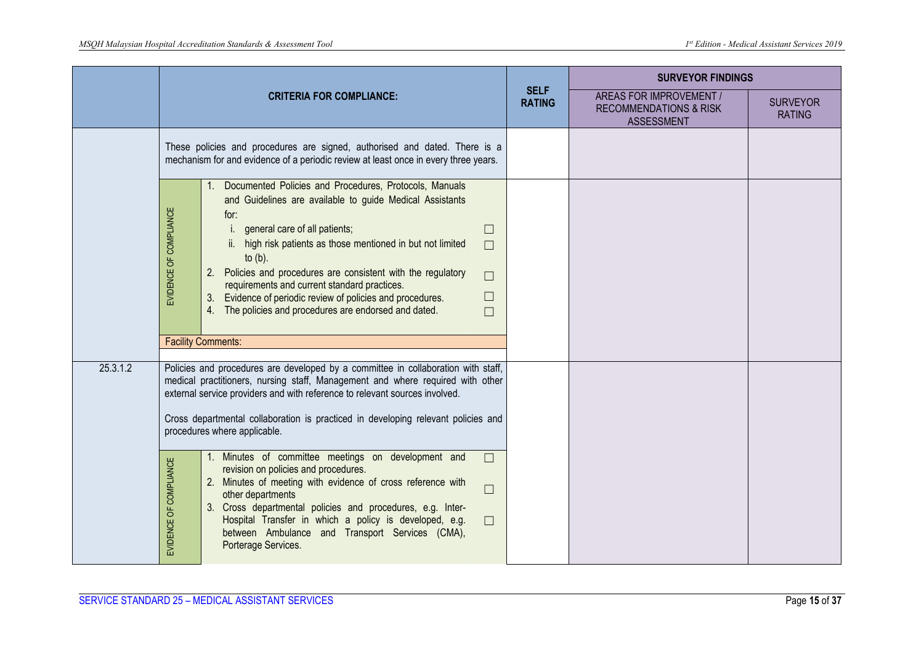|          |                        |                                                                                                                                                                                                                                                                                                                                                                                                                                                                                                                                      |                              | <b>SURVEYOR FINDINGS</b>                                                          |                                  |
|----------|------------------------|--------------------------------------------------------------------------------------------------------------------------------------------------------------------------------------------------------------------------------------------------------------------------------------------------------------------------------------------------------------------------------------------------------------------------------------------------------------------------------------------------------------------------------------|------------------------------|-----------------------------------------------------------------------------------|----------------------------------|
|          |                        | <b>CRITERIA FOR COMPLIANCE:</b>                                                                                                                                                                                                                                                                                                                                                                                                                                                                                                      | <b>SELF</b><br><b>RATING</b> | AREAS FOR IMPROVEMENT /<br><b>RECOMMENDATIONS &amp; RISK</b><br><b>ASSESSMENT</b> | <b>SURVEYOR</b><br><b>RATING</b> |
|          |                        | These policies and procedures are signed, authorised and dated. There is a<br>mechanism for and evidence of a periodic review at least once in every three years.                                                                                                                                                                                                                                                                                                                                                                    |                              |                                                                                   |                                  |
|          | EVIDENCE OF COMPLIANCE | Documented Policies and Procedures, Protocols, Manuals<br>and Guidelines are available to guide Medical Assistants<br>for:<br>general care of all patients;<br>$\Box$<br>ii. high risk patients as those mentioned in but not limited<br>$\Box$<br>to $(b)$ .<br>Policies and procedures are consistent with the regulatory<br>$\Box$<br>requirements and current standard practices.<br>$\Box$<br>Evidence of periodic review of policies and procedures.<br>3.<br>4. The policies and procedures are endorsed and dated.<br>$\Box$ |                              |                                                                                   |                                  |
|          |                        | <b>Facility Comments:</b>                                                                                                                                                                                                                                                                                                                                                                                                                                                                                                            |                              |                                                                                   |                                  |
| 25.3.1.2 |                        | Policies and procedures are developed by a committee in collaboration with staff,<br>medical practitioners, nursing staff, Management and where required with other<br>external service providers and with reference to relevant sources involved.<br>Cross departmental collaboration is practiced in developing relevant policies and<br>procedures where applicable.                                                                                                                                                              |                              |                                                                                   |                                  |
|          | EVIDENCE OF COMPLIANCE | 1. Minutes of committee meetings on development and<br>$\Box$<br>revision on policies and procedures.<br>2. Minutes of meeting with evidence of cross reference with<br>$\Box$<br>other departments<br>3. Cross departmental policies and procedures, e.g. Inter-<br>Hospital Transfer in which a policy is developed, e.g.<br>$\Box$<br>between Ambulance and Transport Services (CMA),<br>Porterage Services.                                                                                                                      |                              |                                                                                   |                                  |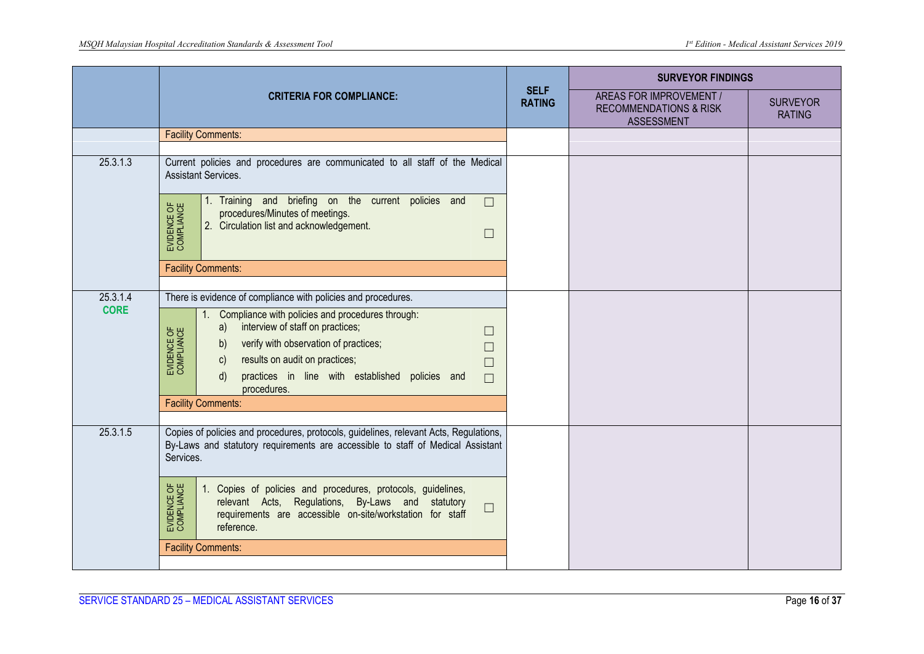|             |                                                                                                                                                                                                                                              | <b>SELF</b> | <b>SURVEYOR FINDINGS</b>                                                          |                                  |
|-------------|----------------------------------------------------------------------------------------------------------------------------------------------------------------------------------------------------------------------------------------------|-------------|-----------------------------------------------------------------------------------|----------------------------------|
|             | <b>CRITERIA FOR COMPLIANCE:</b>                                                                                                                                                                                                              |             | AREAS FOR IMPROVEMENT /<br><b>RECOMMENDATIONS &amp; RISK</b><br><b>ASSESSMENT</b> | <b>SURVEYOR</b><br><b>RATING</b> |
|             | <b>Facility Comments:</b>                                                                                                                                                                                                                    |             |                                                                                   |                                  |
|             |                                                                                                                                                                                                                                              |             |                                                                                   |                                  |
| 25.3.1.3    | Current policies and procedures are communicated to all staff of the Medical<br><b>Assistant Services.</b>                                                                                                                                   |             |                                                                                   |                                  |
|             | 1. Training and briefing on the current policies and<br>$\Box$<br>EVIDENCE OF<br>COMPLIANCE<br>procedures/Minutes of meetings.<br>2. Circulation list and acknowledgement.<br>$\Box$                                                         |             |                                                                                   |                                  |
|             | <b>Facility Comments:</b>                                                                                                                                                                                                                    |             |                                                                                   |                                  |
|             |                                                                                                                                                                                                                                              |             |                                                                                   |                                  |
| 25.3.1.4    | There is evidence of compliance with policies and procedures.                                                                                                                                                                                |             |                                                                                   |                                  |
| <b>CORE</b> | Compliance with policies and procedures through:<br>interview of staff on practices;<br>a)<br>EVIDENCE OF<br>COMPLIANCE<br>$\Box$<br>verify with observation of practices;<br>b)<br>$\Box$<br>results on audit on practices;<br>c)<br>$\Box$ |             |                                                                                   |                                  |
|             | practices in line with established policies and<br>$\mathsf{d}$<br>$\Box$<br>procedures.                                                                                                                                                     |             |                                                                                   |                                  |
|             | <b>Facility Comments:</b>                                                                                                                                                                                                                    |             |                                                                                   |                                  |
|             |                                                                                                                                                                                                                                              |             |                                                                                   |                                  |
| 25.3.1.5    | Copies of policies and procedures, protocols, guidelines, relevant Acts, Regulations,<br>By-Laws and statutory requirements are accessible to staff of Medical Assistant<br>Services.                                                        |             |                                                                                   |                                  |
|             | EVIDENCE OF<br>COMPLIANCE<br>Copies of policies and procedures, protocols, guidelines,<br>-1.<br>relevant Acts, Regulations, By-Laws and statutory<br>$\Box$<br>requirements are accessible on-site/workstation for staff<br>reference.      |             |                                                                                   |                                  |
|             | <b>Facility Comments:</b>                                                                                                                                                                                                                    |             |                                                                                   |                                  |
|             |                                                                                                                                                                                                                                              |             |                                                                                   |                                  |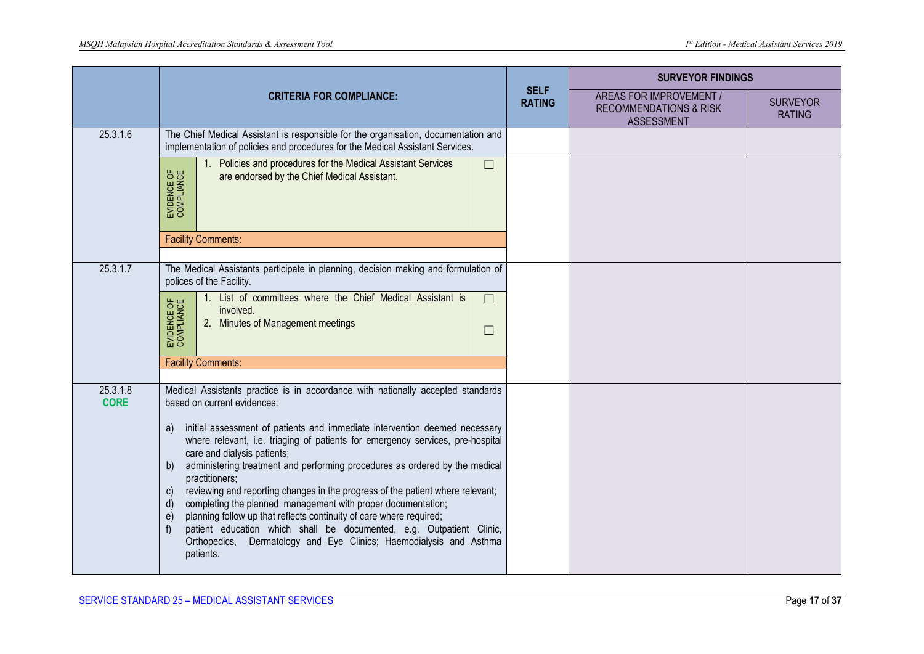|                         | <b>CRITERIA FOR COMPLIANCE:</b>                                                                                                                                                                                                                                                                                                                                                                                                                                                                                                                                                                                                                                                                                                                                                                                                                            |  | <b>SURVEYOR FINDINGS</b>                                                          |                                  |
|-------------------------|------------------------------------------------------------------------------------------------------------------------------------------------------------------------------------------------------------------------------------------------------------------------------------------------------------------------------------------------------------------------------------------------------------------------------------------------------------------------------------------------------------------------------------------------------------------------------------------------------------------------------------------------------------------------------------------------------------------------------------------------------------------------------------------------------------------------------------------------------------|--|-----------------------------------------------------------------------------------|----------------------------------|
|                         |                                                                                                                                                                                                                                                                                                                                                                                                                                                                                                                                                                                                                                                                                                                                                                                                                                                            |  | AREAS FOR IMPROVEMENT /<br><b>RECOMMENDATIONS &amp; RISK</b><br><b>ASSESSMENT</b> | <b>SURVEYOR</b><br><b>RATING</b> |
| 25.3.1.6                | The Chief Medical Assistant is responsible for the organisation, documentation and<br>implementation of policies and procedures for the Medical Assistant Services.                                                                                                                                                                                                                                                                                                                                                                                                                                                                                                                                                                                                                                                                                        |  |                                                                                   |                                  |
|                         | Policies and procedures for the Medical Assistant Services<br>$\Box$<br>EVIDENCE OF<br>COMPLIANCE<br>are endorsed by the Chief Medical Assistant.                                                                                                                                                                                                                                                                                                                                                                                                                                                                                                                                                                                                                                                                                                          |  |                                                                                   |                                  |
|                         | <b>Facility Comments:</b>                                                                                                                                                                                                                                                                                                                                                                                                                                                                                                                                                                                                                                                                                                                                                                                                                                  |  |                                                                                   |                                  |
| 25.3.1.7                | The Medical Assistants participate in planning, decision making and formulation of<br>polices of the Facility.                                                                                                                                                                                                                                                                                                                                                                                                                                                                                                                                                                                                                                                                                                                                             |  |                                                                                   |                                  |
|                         | 1. List of committees where the Chief Medical Assistant is<br>$\Box$<br>EVIDENCE OF<br>COMPLIANCE<br>involved.<br>2. Minutes of Management meetings<br>$\Box$                                                                                                                                                                                                                                                                                                                                                                                                                                                                                                                                                                                                                                                                                              |  |                                                                                   |                                  |
|                         | <b>Facility Comments:</b>                                                                                                                                                                                                                                                                                                                                                                                                                                                                                                                                                                                                                                                                                                                                                                                                                                  |  |                                                                                   |                                  |
| 25.3.1.8<br><b>CORE</b> | Medical Assistants practice is in accordance with nationally accepted standards<br>based on current evidences:<br>initial assessment of patients and immediate intervention deemed necessary<br>a)<br>where relevant, i.e. triaging of patients for emergency services, pre-hospital<br>care and dialysis patients;<br>administering treatment and performing procedures as ordered by the medical<br>b)<br>practitioners;<br>reviewing and reporting changes in the progress of the patient where relevant;<br>$\mathsf{C}$<br>completing the planned management with proper documentation;<br>d)<br>planning follow up that reflects continuity of care where required;<br>e)<br>patient education which shall be documented, e.g. Outpatient Clinic,<br>$\mathsf{f}$<br>Orthopedics, Dermatology and Eye Clinics; Haemodialysis and Asthma<br>patients. |  |                                                                                   |                                  |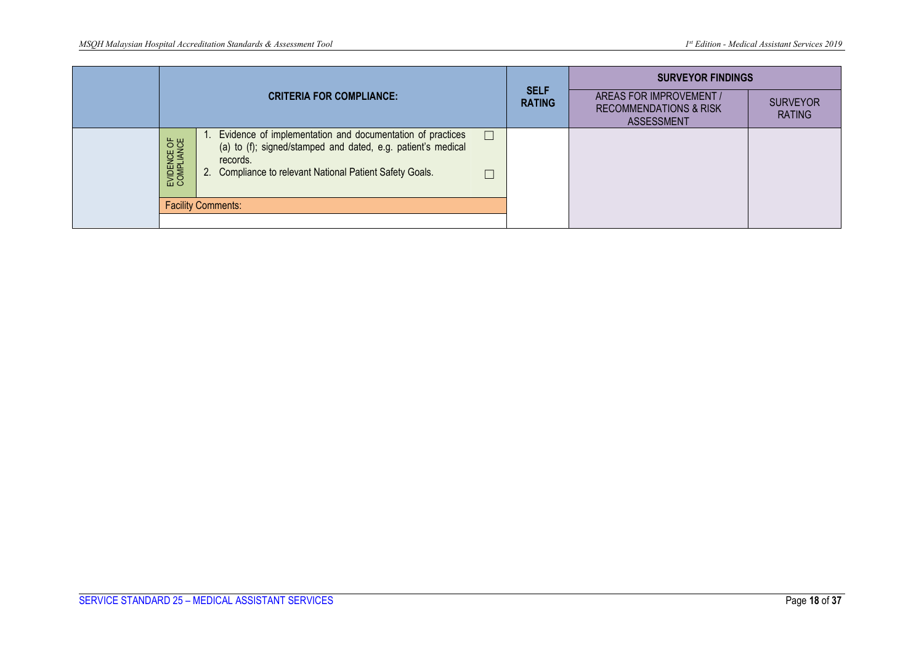|                                 |                                                                                                                                                                                                             |                              | <b>SURVEYOR FINDINGS</b>                                                          |                                  |
|---------------------------------|-------------------------------------------------------------------------------------------------------------------------------------------------------------------------------------------------------------|------------------------------|-----------------------------------------------------------------------------------|----------------------------------|
| <b>CRITERIA FOR COMPLIANCE:</b> |                                                                                                                                                                                                             | <b>SELF</b><br><b>RATING</b> | AREAS FOR IMPROVEMENT /<br><b>RECOMMENDATIONS &amp; RISK</b><br><b>ASSESSMENT</b> | <b>SURVEYOR</b><br><b>RATING</b> |
| EVIDENCE OF<br>COMPLIANCE       | Evidence of implementation and documentation of practices<br>$\Box$<br>(a) to (f); signed/stamped and dated, e.g. patient's medical<br>records.<br>2. Compliance to relevant National Patient Safety Goals. |                              |                                                                                   |                                  |
|                                 | <b>Facility Comments:</b>                                                                                                                                                                                   |                              |                                                                                   |                                  |
|                                 |                                                                                                                                                                                                             |                              |                                                                                   |                                  |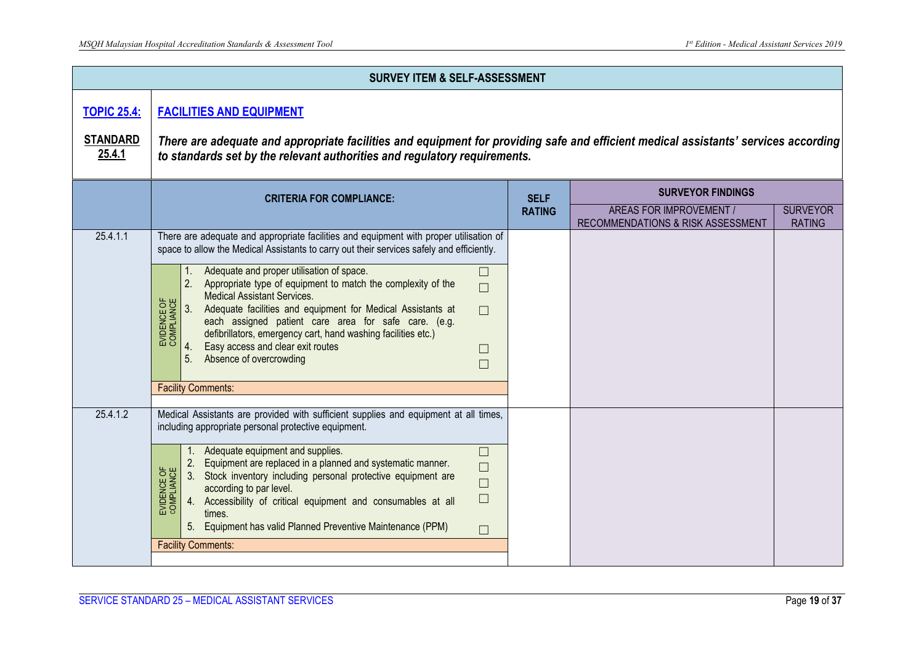|                           | <b>SURVEY ITEM &amp; SELF-ASSESSMENT</b>                                                                                                                                                                                                                                                                                                                                                                                                                                                                                                                                                                                                                                                                           |                              |                                                              |                                  |  |  |
|---------------------------|--------------------------------------------------------------------------------------------------------------------------------------------------------------------------------------------------------------------------------------------------------------------------------------------------------------------------------------------------------------------------------------------------------------------------------------------------------------------------------------------------------------------------------------------------------------------------------------------------------------------------------------------------------------------------------------------------------------------|------------------------------|--------------------------------------------------------------|----------------------------------|--|--|
| <b>TOPIC 25.4:</b>        | <b>FACILITIES AND EQUIPMENT</b>                                                                                                                                                                                                                                                                                                                                                                                                                                                                                                                                                                                                                                                                                    |                              |                                                              |                                  |  |  |
| <b>STANDARD</b><br>25.4.1 | There are adequate and appropriate facilities and equipment for providing safe and efficient medical assistants' services according<br>to standards set by the relevant authorities and regulatory requirements.                                                                                                                                                                                                                                                                                                                                                                                                                                                                                                   |                              |                                                              |                                  |  |  |
|                           | <b>CRITERIA FOR COMPLIANCE:</b>                                                                                                                                                                                                                                                                                                                                                                                                                                                                                                                                                                                                                                                                                    | <b>SELF</b><br><b>RATING</b> | <b>SURVEYOR FINDINGS</b>                                     |                                  |  |  |
|                           |                                                                                                                                                                                                                                                                                                                                                                                                                                                                                                                                                                                                                                                                                                                    |                              | AREAS FOR IMPROVEMENT /<br>RECOMMENDATIONS & RISK ASSESSMENT | <b>SURVEYOR</b><br><b>RATING</b> |  |  |
| 25.4.1.1                  | There are adequate and appropriate facilities and equipment with proper utilisation of<br>space to allow the Medical Assistants to carry out their services safely and efficiently.<br>Adequate and proper utilisation of space.<br>$\Box$<br>2. Appropriate type of equipment to match the complexity of the<br>$\Box$<br>Medical Assistant Services.<br>EVIDENCE OF<br>COMPLIANCE<br>3.<br>Adequate facilities and equipment for Medical Assistants at<br>$\Box$<br>each assigned patient care area for safe care. (e.g.<br>defibrillators, emergency cart, hand washing facilities etc.)<br>Easy access and clear exit routes<br>$\Box$<br>5.<br>Absence of overcrowding<br>$\Box$<br><b>Facility Comments:</b> |                              |                                                              |                                  |  |  |
| 25.4.1.2                  | Medical Assistants are provided with sufficient supplies and equipment at all times,<br>including appropriate personal protective equipment.<br>Adequate equipment and supplies.<br>$\Box$<br>Equipment are replaced in a planned and systematic manner.<br>2.<br>$\Box$<br>EVIDENCE OF<br>COMPLIANCE<br>Stock inventory including personal protective equipment are<br>3.<br>$\Box$<br>according to par level.<br>$\Box$<br>4. Accessibility of critical equipment and consumables at all<br>times.<br>5. Equipment has valid Planned Preventive Maintenance (PPM)<br>$\Box$<br><b>Facility Comments:</b>                                                                                                         |                              |                                                              |                                  |  |  |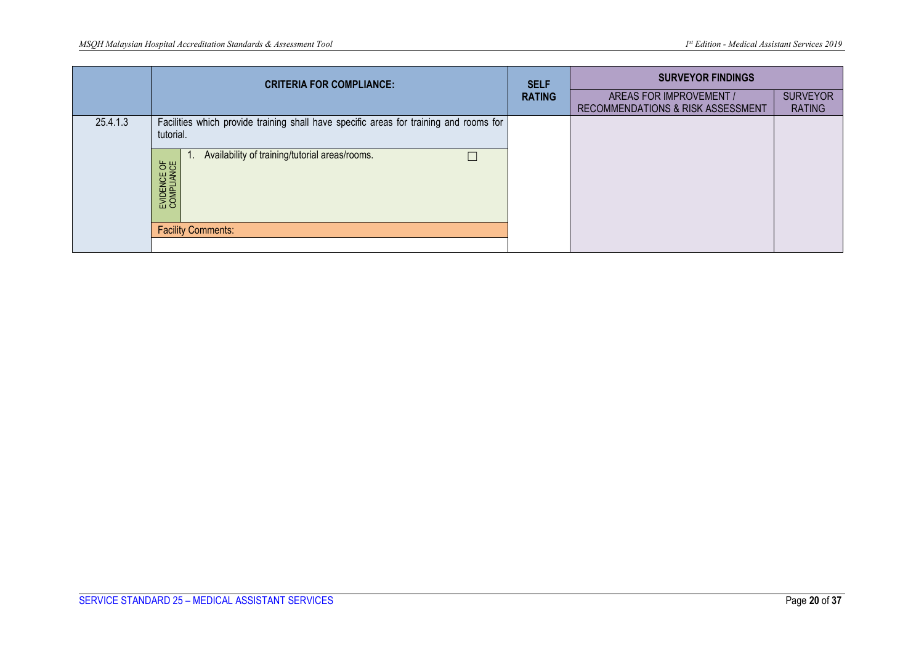|          | <b>CRITERIA FOR COMPLIANCE:</b>                                                                     | <b>SELF</b><br><b>RATING</b> | <b>SURVEYOR FINDINGS</b>                                     |                                  |
|----------|-----------------------------------------------------------------------------------------------------|------------------------------|--------------------------------------------------------------|----------------------------------|
|          |                                                                                                     |                              | AREAS FOR IMPROVEMENT /<br>RECOMMENDATIONS & RISK ASSESSMENT | <b>SURVEYOR</b><br><b>RATING</b> |
| 25.4.1.3 | Facilities which provide training shall have specific areas for training and rooms for<br>tutorial. |                              |                                                              |                                  |
|          | Availability of training/tutorial areas/rooms.<br>EVIDENCE OF<br>COMPLIANCE                         |                              |                                                              |                                  |
|          | <b>Facility Comments:</b>                                                                           |                              |                                                              |                                  |
|          |                                                                                                     |                              |                                                              |                                  |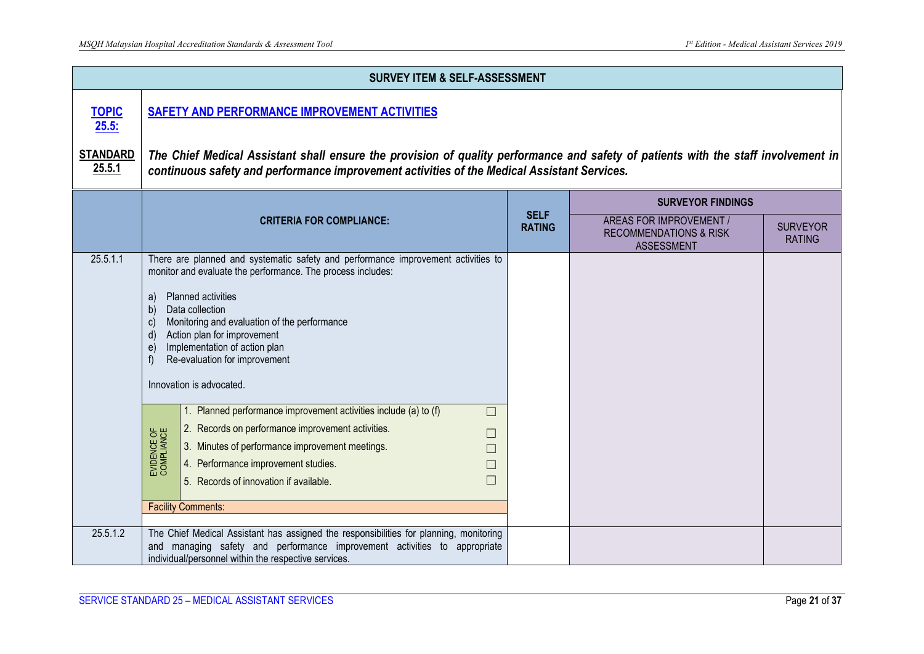|                           |                                                                                                                                                                                                                                   | <b>SURVEY ITEM &amp; SELF-ASSESSMENT</b>                                                                                                                                                                                                                                                                                                                                                                                                                                                                                                                                                                                 |                              |                                                                                   |                                  |  |  |
|---------------------------|-----------------------------------------------------------------------------------------------------------------------------------------------------------------------------------------------------------------------------------|--------------------------------------------------------------------------------------------------------------------------------------------------------------------------------------------------------------------------------------------------------------------------------------------------------------------------------------------------------------------------------------------------------------------------------------------------------------------------------------------------------------------------------------------------------------------------------------------------------------------------|------------------------------|-----------------------------------------------------------------------------------|----------------------------------|--|--|
| <b>TOPIC</b><br>25.5:     | SAFETY AND PERFORMANCE IMPROVEMENT ACTIVITIES                                                                                                                                                                                     |                                                                                                                                                                                                                                                                                                                                                                                                                                                                                                                                                                                                                          |                              |                                                                                   |                                  |  |  |
| <b>STANDARD</b><br>25.5.1 | The Chief Medical Assistant shall ensure the provision of quality performance and safety of patients with the staff involvement in<br>continuous safety and performance improvement activities of the Medical Assistant Services. |                                                                                                                                                                                                                                                                                                                                                                                                                                                                                                                                                                                                                          |                              |                                                                                   |                                  |  |  |
|                           |                                                                                                                                                                                                                                   |                                                                                                                                                                                                                                                                                                                                                                                                                                                                                                                                                                                                                          |                              | <b>SURVEYOR FINDINGS</b>                                                          |                                  |  |  |
|                           |                                                                                                                                                                                                                                   | <b>CRITERIA FOR COMPLIANCE:</b>                                                                                                                                                                                                                                                                                                                                                                                                                                                                                                                                                                                          | <b>SELF</b><br><b>RATING</b> | AREAS FOR IMPROVEMENT /<br><b>RECOMMENDATIONS &amp; RISK</b><br><b>ASSESSMENT</b> | <b>SURVEYOR</b><br><b>RATING</b> |  |  |
| 25.5.1.1                  | Planned activities<br>a)<br>Data collection<br>b)<br>$\mathbf{C}$<br>d)<br>e)<br>Innovation is advocated.<br>EVIDENCE OF<br>COMPLIANCE<br><b>Facility Comments:</b>                                                               | There are planned and systematic safety and performance improvement activities to<br>monitor and evaluate the performance. The process includes:<br>Monitoring and evaluation of the performance<br>Action plan for improvement<br>Implementation of action plan<br>Re-evaluation for improvement<br>1. Planned performance improvement activities include (a) to (f)<br>$\Box$<br>2. Records on performance improvement activities.<br>$\Box$<br>3. Minutes of performance improvement meetings.<br>$\overline{\phantom{a}}$<br>4. Performance improvement studies.<br>$\Box$<br>5. Records of innovation if available. |                              |                                                                                   |                                  |  |  |
| 25.5.1.2                  |                                                                                                                                                                                                                                   | The Chief Medical Assistant has assigned the responsibilities for planning, monitoring<br>and managing safety and performance improvement activities to appropriate<br>individual/personnel within the respective services.                                                                                                                                                                                                                                                                                                                                                                                              |                              |                                                                                   |                                  |  |  |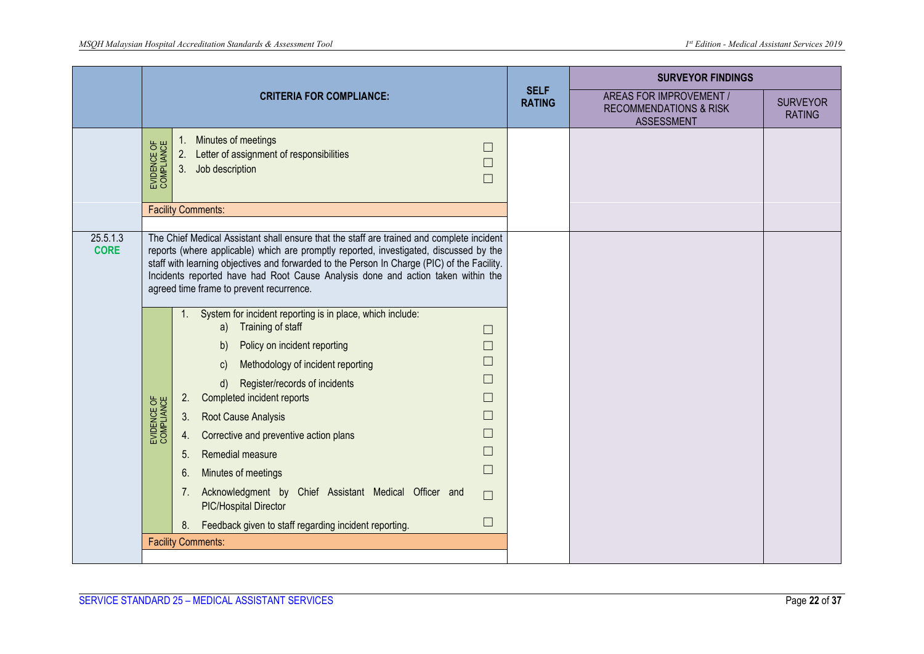|                         |                           |                                                                                                                                                                                                                                                                                                                                                                                                                                                                                                                                                                                                                                                                  |                              | <b>SURVEYOR FINDINGS</b>                                                          |                                  |
|-------------------------|---------------------------|------------------------------------------------------------------------------------------------------------------------------------------------------------------------------------------------------------------------------------------------------------------------------------------------------------------------------------------------------------------------------------------------------------------------------------------------------------------------------------------------------------------------------------------------------------------------------------------------------------------------------------------------------------------|------------------------------|-----------------------------------------------------------------------------------|----------------------------------|
|                         |                           | <b>CRITERIA FOR COMPLIANCE:</b>                                                                                                                                                                                                                                                                                                                                                                                                                                                                                                                                                                                                                                  | <b>SELF</b><br><b>RATING</b> | AREAS FOR IMPROVEMENT /<br><b>RECOMMENDATIONS &amp; RISK</b><br><b>ASSESSMENT</b> | <b>SURVEYOR</b><br><b>RATING</b> |
|                         | EVIDENCE OF<br>COMPLIANCE | Minutes of meetings<br>1.<br>$\Box$<br>Letter of assignment of responsibilities<br>2.<br>П<br>3.<br>Job description<br>$\Box$<br><b>Facility Comments:</b>                                                                                                                                                                                                                                                                                                                                                                                                                                                                                                       |                              |                                                                                   |                                  |
| 25.5.1.3<br><b>CORE</b> |                           | The Chief Medical Assistant shall ensure that the staff are trained and complete incident<br>reports (where applicable) which are promptly reported, investigated, discussed by the<br>staff with learning objectives and forwarded to the Person In Charge (PIC) of the Facility.<br>Incidents reported have had Root Cause Analysis done and action taken within the<br>agreed time frame to prevent recurrence.                                                                                                                                                                                                                                               |                              |                                                                                   |                                  |
|                         | EVIDENCE OF<br>COMPLIANCE | 1. System for incident reporting is in place, which include:<br>a) Training of staff<br>$\Box$<br>Policy on incident reporting<br>b)<br>П<br>П<br>Methodology of incident reporting<br>$\mathsf{C}$<br>$\Box$<br>Register/records of incidents<br>d)<br>$\Box$<br>Completed incident reports<br>2.<br>3.<br>Root Cause Analysis<br>$\Box$<br>$\Box$<br>Corrective and preventive action plans<br>4.<br>$\Box$<br>Remedial measure<br>5.<br>$\Box$<br>Minutes of meetings<br>6.<br>Acknowledgment by Chief Assistant Medical Officer and<br>7.<br>$\Box$<br><b>PIC/Hospital Director</b><br>$\Box$<br>Feedback given to staff regarding incident reporting.<br>8. |                              |                                                                                   |                                  |
|                         |                           | <b>Facility Comments:</b>                                                                                                                                                                                                                                                                                                                                                                                                                                                                                                                                                                                                                                        |                              |                                                                                   |                                  |
|                         |                           |                                                                                                                                                                                                                                                                                                                                                                                                                                                                                                                                                                                                                                                                  |                              |                                                                                   |                                  |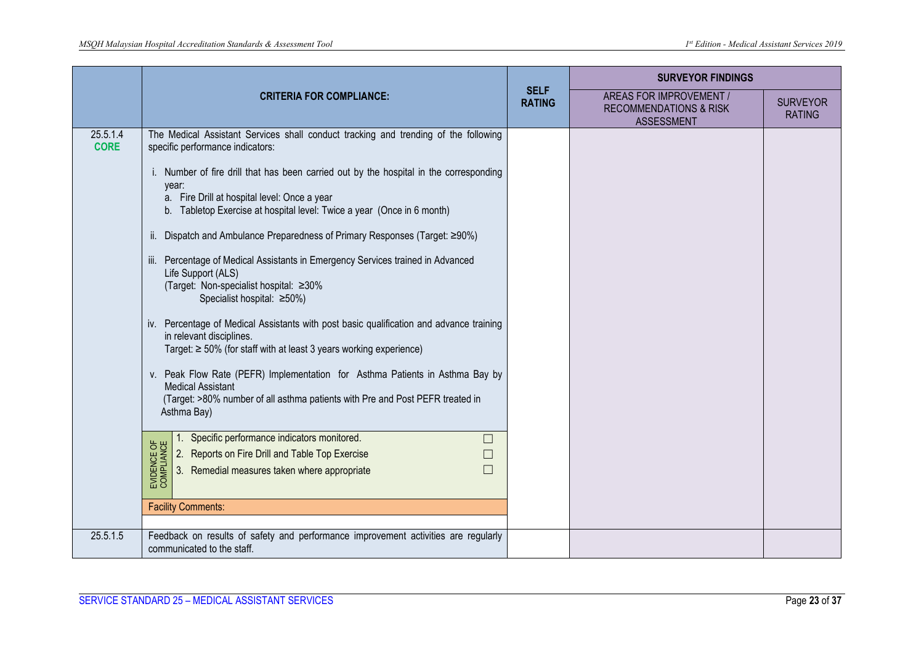|                         |                                                                                                                                                                                                                                                                                                          |                              | <b>SURVEYOR FINDINGS</b>                                                          |                                  |
|-------------------------|----------------------------------------------------------------------------------------------------------------------------------------------------------------------------------------------------------------------------------------------------------------------------------------------------------|------------------------------|-----------------------------------------------------------------------------------|----------------------------------|
|                         | <b>CRITERIA FOR COMPLIANCE:</b>                                                                                                                                                                                                                                                                          | <b>SELF</b><br><b>RATING</b> | AREAS FOR IMPROVEMENT /<br><b>RECOMMENDATIONS &amp; RISK</b><br><b>ASSESSMENT</b> | <b>SURVEYOR</b><br><b>RATING</b> |
| 25.5.1.4<br><b>CORE</b> | The Medical Assistant Services shall conduct tracking and trending of the following<br>specific performance indicators:                                                                                                                                                                                  |                              |                                                                                   |                                  |
|                         | i. Number of fire drill that has been carried out by the hospital in the corresponding<br>year:<br>a. Fire Drill at hospital level: Once a year<br>b. Tabletop Exercise at hospital level: Twice a year (Once in 6 month)<br>ii. Dispatch and Ambulance Preparedness of Primary Responses (Target: ≥90%) |                              |                                                                                   |                                  |
|                         |                                                                                                                                                                                                                                                                                                          |                              |                                                                                   |                                  |
|                         | Percentage of Medical Assistants in Emergency Services trained in Advanced<br>Life Support (ALS)<br>(Target: Non-specialist hospital: ≥30%<br>Specialist hospital: ≥50%)                                                                                                                                 |                              |                                                                                   |                                  |
|                         | iv. Percentage of Medical Assistants with post basic qualification and advance training<br>in relevant disciplines.<br>Target: $\geq$ 50% (for staff with at least 3 years working experience)                                                                                                           |                              |                                                                                   |                                  |
|                         | v. Peak Flow Rate (PEFR) Implementation for Asthma Patients in Asthma Bay by<br><b>Medical Assistant</b><br>(Target: >80% number of all asthma patients with Pre and Post PEFR treated in<br>Asthma Bay)                                                                                                 |                              |                                                                                   |                                  |
|                         | Specific performance indicators monitored.<br>$\Box$                                                                                                                                                                                                                                                     |                              |                                                                                   |                                  |
|                         | 2. Reports on Fire Drill and Table Top Exercise<br>$\Box$                                                                                                                                                                                                                                                |                              |                                                                                   |                                  |
|                         | EVIDENCE OF<br>COMPLIANCE<br>3. Remedial measures taken where appropriate<br>$\Box$                                                                                                                                                                                                                      |                              |                                                                                   |                                  |
|                         | <b>Facility Comments:</b>                                                                                                                                                                                                                                                                                |                              |                                                                                   |                                  |
| 25.5.1.5                | Feedback on results of safety and performance improvement activities are regularly                                                                                                                                                                                                                       |                              |                                                                                   |                                  |
|                         | communicated to the staff.                                                                                                                                                                                                                                                                               |                              |                                                                                   |                                  |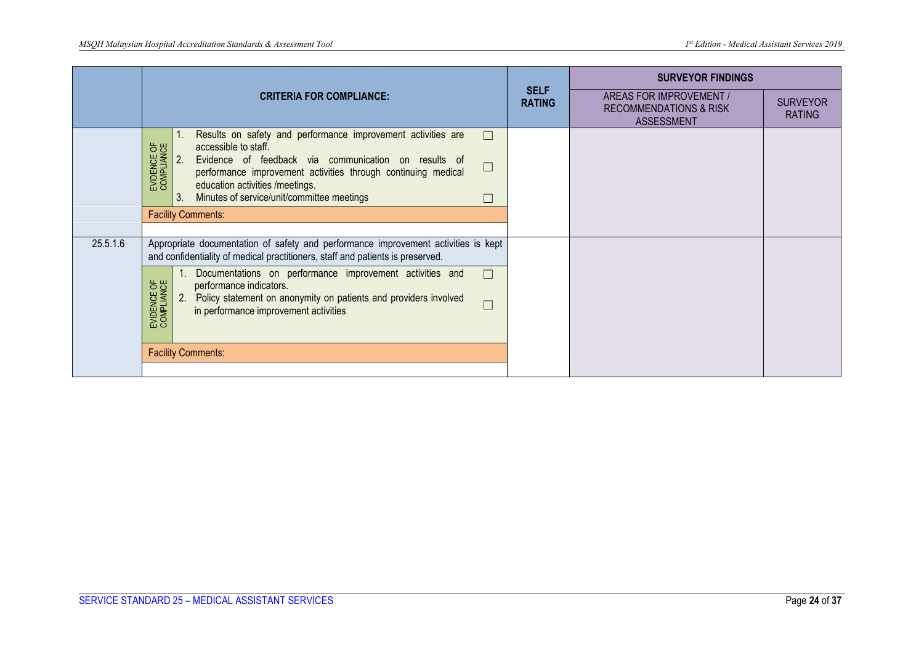|          |                                                                                                                                                                                                                                                                                                                                                                                          |                              | <b>SURVEYOR FINDINGS</b>                                                   |                                  |
|----------|------------------------------------------------------------------------------------------------------------------------------------------------------------------------------------------------------------------------------------------------------------------------------------------------------------------------------------------------------------------------------------------|------------------------------|----------------------------------------------------------------------------|----------------------------------|
|          | <b>CRITERIA FOR COMPLIANCE:</b>                                                                                                                                                                                                                                                                                                                                                          | <b>SELF</b><br><b>RATING</b> | AREAS FOR IMPROVEMENT /<br><b>RECOMMENDATIONS &amp; RISK</b><br>ASSESSMENT | <b>SURVEYOR</b><br><b>RATING</b> |
|          | Results on safety and performance improvement activities are<br>$\Box$<br>EVIDENCE OF<br>COMPLIANCE<br>accessible to staff.<br>2.<br>Evidence of feedback via communication on results of<br>$\Box$<br>performance improvement activities through continuing medical<br>education activities /meetings.<br>Minutes of service/unit/committee meetings<br>3.<br><b>Facility Comments:</b> |                              |                                                                            |                                  |
| 25.5.1.6 | Appropriate documentation of safety and performance improvement activities is kept<br>and confidentiality of medical practitioners, staff and patients is preserved.                                                                                                                                                                                                                     |                              |                                                                            |                                  |
|          | Documentations on performance improvement activities and<br>$\Box$<br>EVIDENCE OF<br>COMPLIANCE<br>performance indicators.<br>Policy statement on anonymity on patients and providers involved<br>2.<br>$\Box$<br>in performance improvement activities                                                                                                                                  |                              |                                                                            |                                  |
|          | <b>Facility Comments:</b>                                                                                                                                                                                                                                                                                                                                                                |                              |                                                                            |                                  |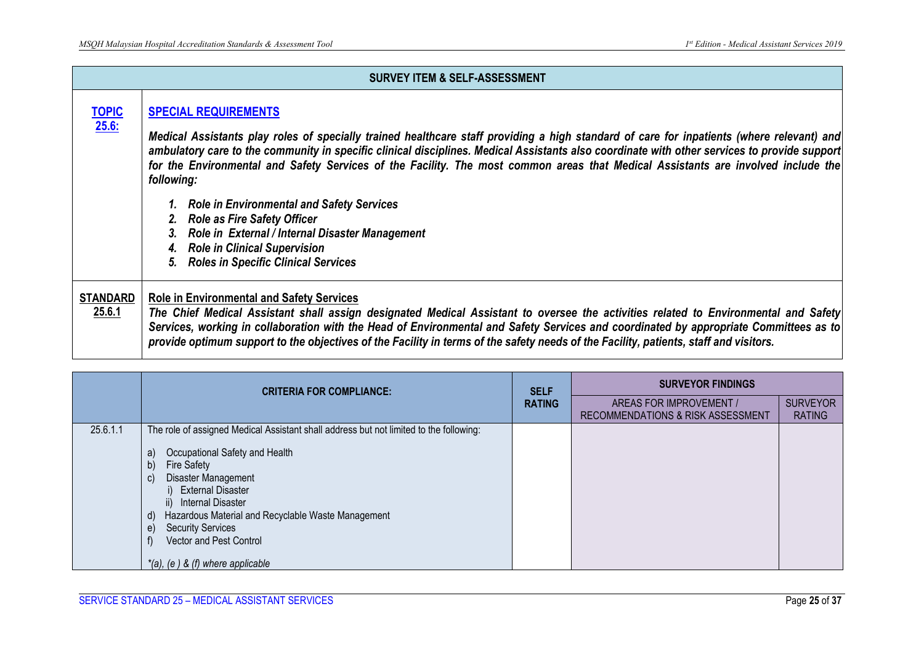|                           | <b>SURVEY ITEM &amp; SELF-ASSESSMENT</b>                                                                                                                                                                                                                                                                                                                                                                                                                                                                                                                                                                                                                                                                              |
|---------------------------|-----------------------------------------------------------------------------------------------------------------------------------------------------------------------------------------------------------------------------------------------------------------------------------------------------------------------------------------------------------------------------------------------------------------------------------------------------------------------------------------------------------------------------------------------------------------------------------------------------------------------------------------------------------------------------------------------------------------------|
| <b>TOPIC</b><br>25.6:     | <b>SPECIAL REQUIREMENTS</b><br>Medical Assistants play roles of specially trained healthcare staff providing a high standard of care for inpatients (where relevant) and<br>ambulatory care to the community in specific clinical disciplines. Medical Assistants also coordinate with other services to provide support<br>for the Environmental and Safety Services of the Facility. The most common areas that Medical Assistants are involved include the<br>following:<br><b>Role in Environmental and Safety Services</b><br>2. Role as Fire Safety Officer<br>Role in External / Internal Disaster Management<br>3.<br><b>Role in Clinical Supervision</b><br><b>Roles in Specific Clinical Services</b><br>5. |
| <b>STANDARD</b><br>25.6.1 | <b>Role in Environmental and Safety Services</b><br>The Chief Medical Assistant shall assign designated Medical Assistant to oversee the activities related to Environmental and Safety<br>Services, working in collaboration with the Head of Environmental and Safety Services and coordinated by appropriate Committees as to<br>provide optimum support to the objectives of the Facility in terms of the safety needs of the Facility, patients, staff and visitors.                                                                                                                                                                                                                                             |

|          | <b>CRITERIA FOR COMPLIANCE:</b>                                                                                                                                                                                                                                                                                                                                                                                            |               | <b>SURVEYOR FINDINGS</b>                                     |                                  |
|----------|----------------------------------------------------------------------------------------------------------------------------------------------------------------------------------------------------------------------------------------------------------------------------------------------------------------------------------------------------------------------------------------------------------------------------|---------------|--------------------------------------------------------------|----------------------------------|
|          |                                                                                                                                                                                                                                                                                                                                                                                                                            | <b>RATING</b> | AREAS FOR IMPROVEMENT /<br>RECOMMENDATIONS & RISK ASSESSMENT | <b>SURVEYOR</b><br><b>RATING</b> |
| 25.6.1.1 | The role of assigned Medical Assistant shall address but not limited to the following:<br>Occupational Safety and Health<br>a)<br><b>Fire Safety</b><br>b)<br>Disaster Management<br>C)<br>i) External Disaster<br><b>Internal Disaster</b><br>$\parallel$<br>Hazardous Material and Recyclable Waste Management<br>d)<br><b>Security Services</b><br>e)<br>Vector and Pest Control<br>$*(a)$ , (e) & (f) where applicable |               |                                                              |                                  |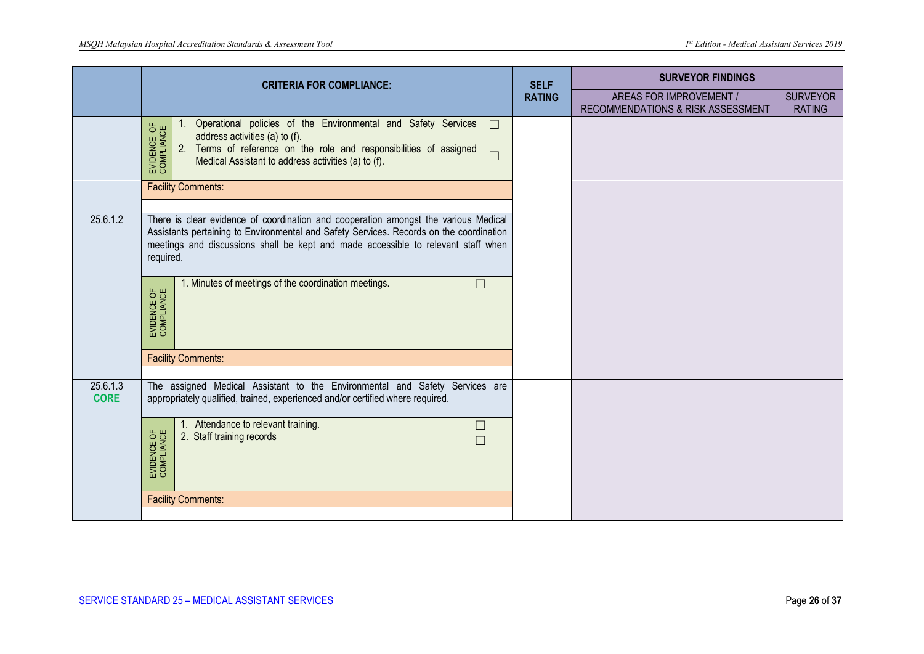|                         | <b>CRITERIA FOR COMPLIANCE:</b>                                                                                                                                                                                                                                                                                                                                                 | <b>SELF</b>   | <b>SURVEYOR FINDINGS</b>                                     |                                  |
|-------------------------|---------------------------------------------------------------------------------------------------------------------------------------------------------------------------------------------------------------------------------------------------------------------------------------------------------------------------------------------------------------------------------|---------------|--------------------------------------------------------------|----------------------------------|
|                         |                                                                                                                                                                                                                                                                                                                                                                                 | <b>RATING</b> | AREAS FOR IMPROVEMENT /<br>RECOMMENDATIONS & RISK ASSESSMENT | <b>SURVEYOR</b><br><b>RATING</b> |
|                         | Operational policies of the Environmental and Safety Services<br>$\Box$<br>EVIDENCE OF<br>COMPLIANCE<br>address activities (a) to (f).<br>Terms of reference on the role and responsibilities of assigned<br>2.<br>$\Box$<br>Medical Assistant to address activities (a) to (f).                                                                                                |               |                                                              |                                  |
|                         | <b>Facility Comments:</b>                                                                                                                                                                                                                                                                                                                                                       |               |                                                              |                                  |
| 25.6.1.2                | There is clear evidence of coordination and cooperation amongst the various Medical<br>Assistants pertaining to Environmental and Safety Services. Records on the coordination<br>meetings and discussions shall be kept and made accessible to relevant staff when<br>required.<br>1. Minutes of meetings of the coordination meetings.<br>$\Box$<br>EVIDENCE OF<br>COMPLIANCE |               |                                                              |                                  |
|                         | <b>Facility Comments:</b>                                                                                                                                                                                                                                                                                                                                                       |               |                                                              |                                  |
| 25.6.1.3<br><b>CORE</b> | The assigned Medical Assistant to the Environmental and Safety Services are<br>appropriately qualified, trained, experienced and/or certified where required.                                                                                                                                                                                                                   |               |                                                              |                                  |
|                         | 1. Attendance to relevant training.<br>$\Box$<br>EVIDENCE OF<br>COMPLIANCE<br>2. Staff training records<br>$\Box$                                                                                                                                                                                                                                                               |               |                                                              |                                  |
|                         | <b>Facility Comments:</b>                                                                                                                                                                                                                                                                                                                                                       |               |                                                              |                                  |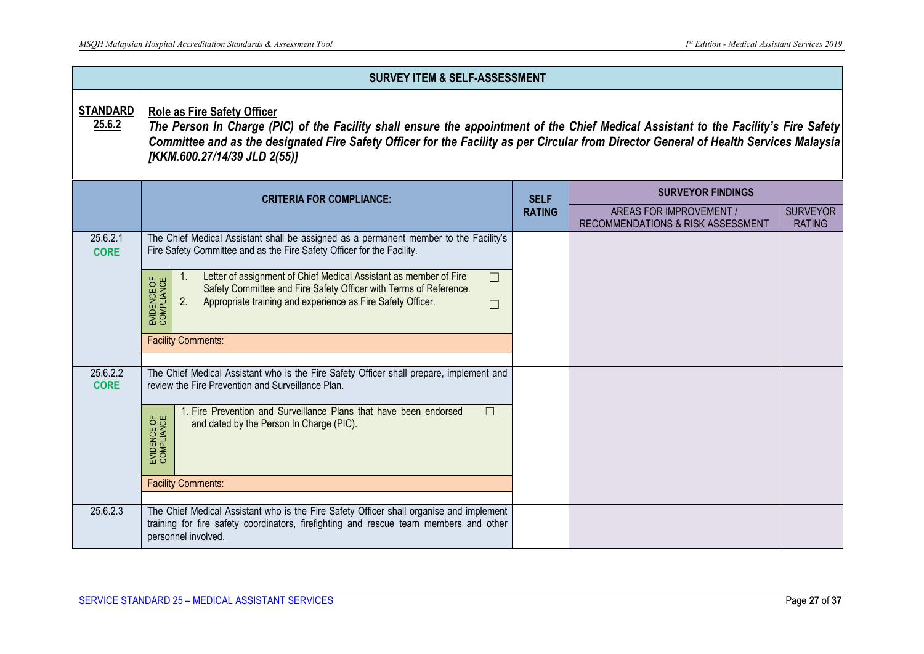| <b>SURVEY ITEM &amp; SELF-ASSESSMENT</b> |                                                                                                                                                                                                                                                                                                                                                                                                                                                                                |               |                                                              |                                  |  |  |  |
|------------------------------------------|--------------------------------------------------------------------------------------------------------------------------------------------------------------------------------------------------------------------------------------------------------------------------------------------------------------------------------------------------------------------------------------------------------------------------------------------------------------------------------|---------------|--------------------------------------------------------------|----------------------------------|--|--|--|
| <b>STANDARD</b><br>25.6.2                | <b>Role as Fire Safety Officer</b><br>The Person In Charge (PIC) of the Facility shall ensure the appointment of the Chief Medical Assistant to the Facility's Fire Safety<br>Committee and as the designated Fire Safety Officer for the Facility as per Circular from Director General of Health Services Malaysia<br>[KKM.600.27/14/39 JLD 2(55)]                                                                                                                           |               |                                                              |                                  |  |  |  |
|                                          | <b>CRITERIA FOR COMPLIANCE:</b>                                                                                                                                                                                                                                                                                                                                                                                                                                                | <b>SELF</b>   | <b>SURVEYOR FINDINGS</b>                                     |                                  |  |  |  |
|                                          |                                                                                                                                                                                                                                                                                                                                                                                                                                                                                | <b>RATING</b> | AREAS FOR IMPROVEMENT /<br>RECOMMENDATIONS & RISK ASSESSMENT | <b>SURVEYOR</b><br><b>RATING</b> |  |  |  |
| 25.6.2.1<br><b>CORE</b>                  | The Chief Medical Assistant shall be assigned as a permanent member to the Facility's<br>Fire Safety Committee and as the Fire Safety Officer for the Facility.<br>Letter of assignment of Chief Medical Assistant as member of Fire<br>$\Box$<br>$\mathbf{1}$ .<br>EVIDENCE OF<br>COMPLIANCE<br>Safety Committee and Fire Safety Officer with Terms of Reference.<br>2.<br>Appropriate training and experience as Fire Safety Officer.<br>$\Box$<br><b>Facility Comments:</b> |               |                                                              |                                  |  |  |  |
| 25.6.2.2<br><b>CORE</b>                  | The Chief Medical Assistant who is the Fire Safety Officer shall prepare, implement and<br>review the Fire Prevention and Surveillance Plan.<br>1. Fire Prevention and Surveillance Plans that have been endorsed<br>$\Box$<br>EVIDENCE OF<br>COMPLIANCE<br>and dated by the Person In Charge (PIC).<br><b>Facility Comments:</b>                                                                                                                                              |               |                                                              |                                  |  |  |  |
| 25.6.2.3                                 | The Chief Medical Assistant who is the Fire Safety Officer shall organise and implement<br>training for fire safety coordinators, firefighting and rescue team members and other<br>personnel involved.                                                                                                                                                                                                                                                                        |               |                                                              |                                  |  |  |  |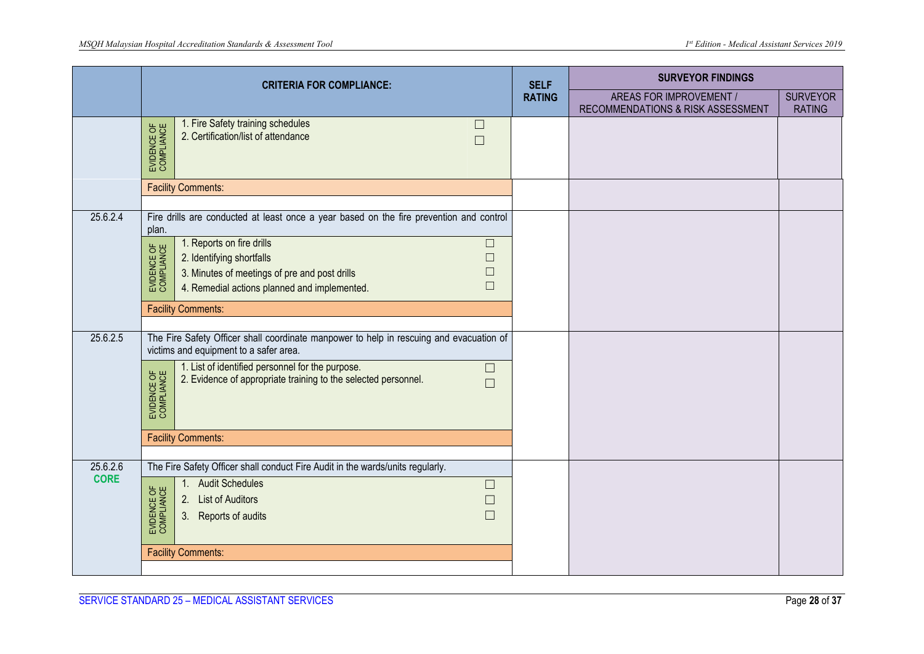|             | <b>CRITERIA FOR COMPLIANCE:</b>                                                                                                                                                                                              | <b>SELF</b>   | <b>SURVEYOR FINDINGS</b>                                     |                                  |
|-------------|------------------------------------------------------------------------------------------------------------------------------------------------------------------------------------------------------------------------------|---------------|--------------------------------------------------------------|----------------------------------|
|             |                                                                                                                                                                                                                              | <b>RATING</b> | AREAS FOR IMPROVEMENT /<br>RECOMMENDATIONS & RISK ASSESSMENT | <b>SURVEYOR</b><br><b>RATING</b> |
|             | 1. Fire Safety training schedules<br>$\Box$<br>EVIDENCE OF<br>COMPLIANCE<br>2. Certification/list of attendance<br>$\Box$                                                                                                    |               |                                                              |                                  |
|             | <b>Facility Comments:</b>                                                                                                                                                                                                    |               |                                                              |                                  |
| 25.6.2.4    | Fire drills are conducted at least once a year based on the fire prevention and control<br>plan.                                                                                                                             |               |                                                              |                                  |
|             | 1. Reports on fire drills<br>$\Box$<br>EVIDENCE OF<br>COMPLIANCE<br>2. Identifying shortfalls<br>$\Box$<br>3. Minutes of meetings of pre and post drills<br>$\Box$<br>$\Box$<br>4. Remedial actions planned and implemented. |               |                                                              |                                  |
|             | <b>Facility Comments:</b>                                                                                                                                                                                                    |               |                                                              |                                  |
| 25.6.2.5    | The Fire Safety Officer shall coordinate manpower to help in rescuing and evacuation of<br>victims and equipment to a safer area.                                                                                            |               |                                                              |                                  |
|             | 1. List of identified personnel for the purpose.<br>$\Box$<br>EVIDENCE OF<br>COMPLIANCE<br>2. Evidence of appropriate training to the selected personnel.<br>П                                                               |               |                                                              |                                  |
|             | <b>Facility Comments:</b>                                                                                                                                                                                                    |               |                                                              |                                  |
| 25.6.2.6    | The Fire Safety Officer shall conduct Fire Audit in the wards/units regularly.                                                                                                                                               |               |                                                              |                                  |
| <b>CORE</b> | <b>Audit Schedules</b><br>1.<br>$\Box$<br>EVIDENCE OF<br>COMPLIANCE<br>2.<br><b>List of Auditors</b><br>$\Box$<br>$\Box$<br>3.<br>Reports of audits                                                                          |               |                                                              |                                  |
|             | <b>Facility Comments:</b>                                                                                                                                                                                                    |               |                                                              |                                  |
|             |                                                                                                                                                                                                                              |               |                                                              |                                  |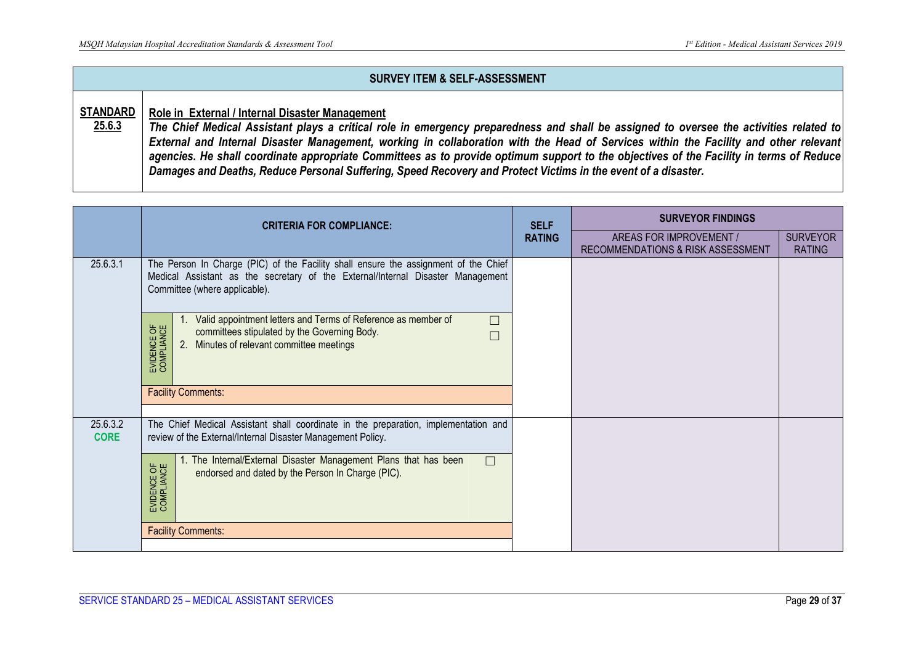|                           | <b>SURVEY ITEM &amp; SELF-ASSESSMENT</b>                                                                                                                                                                                                                                                                                                                                                                                                                                                                                                                                                      |
|---------------------------|-----------------------------------------------------------------------------------------------------------------------------------------------------------------------------------------------------------------------------------------------------------------------------------------------------------------------------------------------------------------------------------------------------------------------------------------------------------------------------------------------------------------------------------------------------------------------------------------------|
| <b>STANDARD</b><br>25.6.3 | Role in External / Internal Disaster Management<br>The Chief Medical Assistant plays a critical role in emergency preparedness and shall be assigned to oversee the activities related to<br>External and Internal Disaster Management, working in collaboration with the Head of Services within the Facility and other relevant<br>agencies. He shall coordinate appropriate Committees as to provide optimum support to the objectives of the Facility in terms of Reduce<br>Damages and Deaths, Reduce Personal Suffering, Speed Recovery and Protect Victims in the event of a disaster. |

|                         | <b>CRITERIA FOR COMPLIANCE:</b>                                                                                                                                                                         | <b>SELF</b>   | <b>SURVEYOR FINDINGS</b>                                     |                                  |
|-------------------------|---------------------------------------------------------------------------------------------------------------------------------------------------------------------------------------------------------|---------------|--------------------------------------------------------------|----------------------------------|
|                         |                                                                                                                                                                                                         | <b>RATING</b> | AREAS FOR IMPROVEMENT /<br>RECOMMENDATIONS & RISK ASSESSMENT | <b>SURVEYOR</b><br><b>RATING</b> |
| 25.6.3.1                | The Person In Charge (PIC) of the Facility shall ensure the assignment of the Chief<br>Medical Assistant as the secretary of the External/Internal Disaster Management<br>Committee (where applicable). |               |                                                              |                                  |
|                         | Valid appointment letters and Terms of Reference as member of<br>$\Box$<br>EVIDENCE OF<br>COMPLIANCE<br>committees stipulated by the Governing Body.<br>Minutes of relevant committee meetings<br>2.    |               |                                                              |                                  |
|                         | <b>Facility Comments:</b>                                                                                                                                                                               |               |                                                              |                                  |
| 25.6.3.2<br><b>CORE</b> | The Chief Medical Assistant shall coordinate in the preparation, implementation and<br>review of the External/Internal Disaster Management Policy.                                                      |               |                                                              |                                  |
|                         | 1. The Internal/External Disaster Management Plans that has been<br>П<br>EVIDENCE OF<br>COMPLIANCE<br>endorsed and dated by the Person In Charge (PIC).                                                 |               |                                                              |                                  |
|                         | <b>Facility Comments:</b>                                                                                                                                                                               |               |                                                              |                                  |
|                         |                                                                                                                                                                                                         |               |                                                              |                                  |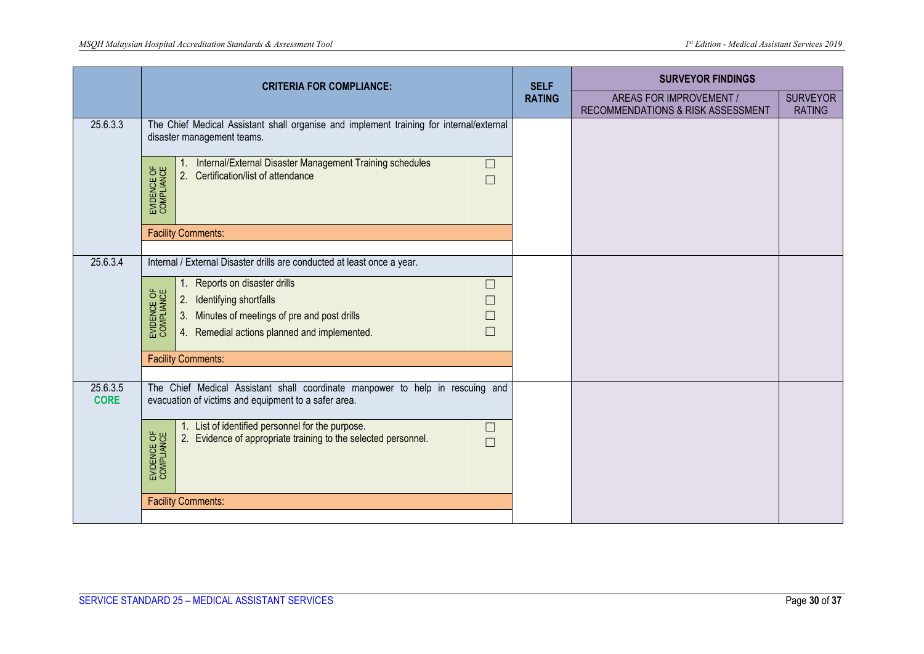|                         | <b>CRITERIA FOR COMPLIANCE:</b>                                                                                                                     |                              | <b>SURVEYOR FINDINGS</b>                                     |                                  |
|-------------------------|-----------------------------------------------------------------------------------------------------------------------------------------------------|------------------------------|--------------------------------------------------------------|----------------------------------|
|                         |                                                                                                                                                     | <b>SELF</b><br><b>RATING</b> | AREAS FOR IMPROVEMENT /<br>RECOMMENDATIONS & RISK ASSESSMENT | <b>SURVEYOR</b><br><b>RATING</b> |
| 25.6.3.3                | The Chief Medical Assistant shall organise and implement training for internal/external<br>disaster management teams.                               |                              |                                                              |                                  |
|                         | Internal/External Disaster Management Training schedules<br>$\Box$<br>EVIDENCE OF<br>COMPLIANCE<br>Certification/list of attendance<br>2.<br>$\Box$ |                              |                                                              |                                  |
|                         | <b>Facility Comments:</b>                                                                                                                           |                              |                                                              |                                  |
| 25.6.3.4                | Internal / External Disaster drills are conducted at least once a year.                                                                             |                              |                                                              |                                  |
|                         |                                                                                                                                                     |                              |                                                              |                                  |
|                         | Reports on disaster drills<br>1.<br>$\Box$                                                                                                          |                              |                                                              |                                  |
|                         | EVIDENCE OF<br>COMPLIANCE<br>Identifying shortfalls<br>2.<br>$\Box$                                                                                 |                              |                                                              |                                  |
|                         | Minutes of meetings of pre and post drills<br>3.<br>$\Box$                                                                                          |                              |                                                              |                                  |
|                         | $\Box$<br>4. Remedial actions planned and implemented.                                                                                              |                              |                                                              |                                  |
|                         | <b>Facility Comments:</b>                                                                                                                           |                              |                                                              |                                  |
| 25.6.3.5<br><b>CORE</b> | The Chief Medical Assistant shall coordinate manpower to help in rescuing and<br>evacuation of victims and equipment to a safer area.               |                              |                                                              |                                  |
|                         |                                                                                                                                                     |                              |                                                              |                                  |
|                         | 1. List of identified personnel for the purpose.<br>$\Box$<br>Evidence of appropriate training to the selected personnel.<br>2.<br>$\Box$           |                              |                                                              |                                  |
|                         | EVIDENCE OF<br>COMPLIANCE                                                                                                                           |                              |                                                              |                                  |
|                         | <b>Facility Comments:</b>                                                                                                                           |                              |                                                              |                                  |
|                         |                                                                                                                                                     |                              |                                                              |                                  |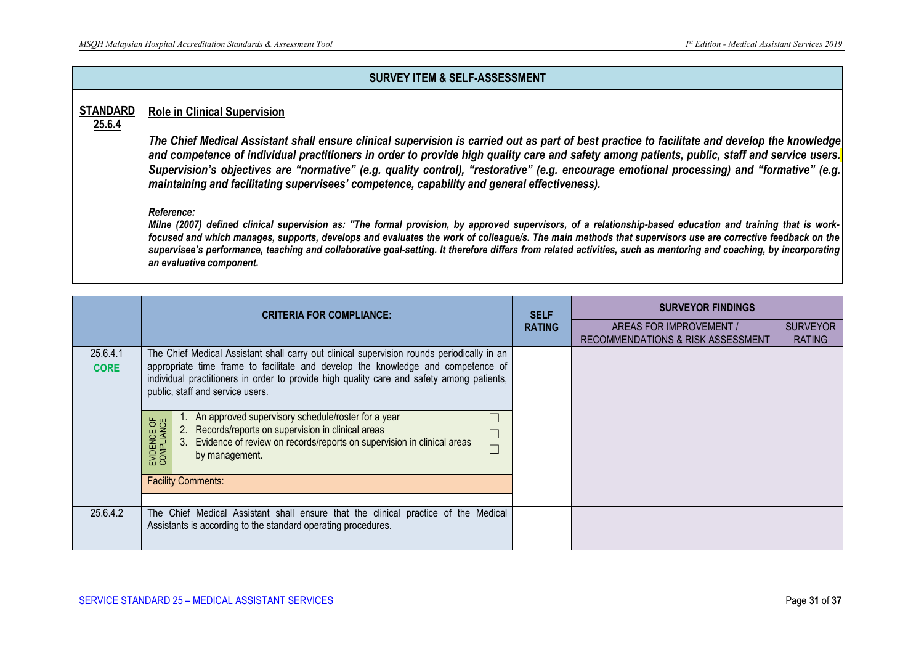|                           | <b>SURVEY ITEM &amp; SELF-ASSESSMENT</b>                                                                                                                                                                                                                                                                                                                                                                                                                                                                                                                                           |
|---------------------------|------------------------------------------------------------------------------------------------------------------------------------------------------------------------------------------------------------------------------------------------------------------------------------------------------------------------------------------------------------------------------------------------------------------------------------------------------------------------------------------------------------------------------------------------------------------------------------|
| <b>STANDARD</b><br>25.6.4 | <b>Role in Clinical Supervision</b><br>The Chief Medical Assistant shall ensure clinical supervision is carried out as part of best practice to facilitate and develop the knowledge<br>and competence of individual practitioners in order to provide high quality care and safety among patients, public, staff and service users.<br>Supervision's objectives are "normative" (e.g. quality control), "restorative" (e.g. encourage emotional processing) and "formative" (e.g.<br>maintaining and facilitating supervisees' competence, capability and general effectiveness). |
|                           | Reference:<br>Milne (2007) defined clinical supervision as: "The formal provision, by approved supervisors, of a relationship-based education and training that is work-<br>focused and which manages, supports, develops and evaluates the work of colleague/s. The main methods that supervisors use are corrective feedback on the<br>supervisee's performance, teaching and collaborative goal-setting. It therefore differs from related activities, such as mentoring and coaching, by incorporating<br>an evaluative component.                                             |

|                         | <b>CRITERIA FOR COMPLIANCE:</b>                                                                                                                                                                                                                                                                                 | <b>SELF</b>   | <b>SURVEYOR FINDINGS</b>                                                |                                  |
|-------------------------|-----------------------------------------------------------------------------------------------------------------------------------------------------------------------------------------------------------------------------------------------------------------------------------------------------------------|---------------|-------------------------------------------------------------------------|----------------------------------|
|                         |                                                                                                                                                                                                                                                                                                                 | <b>RATING</b> | AREAS FOR IMPROVEMENT /<br><b>RECOMMENDATIONS &amp; RISK ASSESSMENT</b> | <b>SURVEYOR</b><br><b>RATING</b> |
| 25.6.4.1<br><b>CORE</b> | The Chief Medical Assistant shall carry out clinical supervision rounds periodically in an<br>appropriate time frame to facilitate and develop the knowledge and competence of<br>individual practitioners in order to provide high quality care and safety among patients,<br>public, staff and service users. |               |                                                                         |                                  |
|                         | An approved supervisory schedule/roster for a year<br>EVIDENCE OF<br>COMPLIANCE<br>2. Records/reports on supervision in clinical areas<br>Evidence of review on records/reports on supervision in clinical areas<br>3.<br>by management.                                                                        |               |                                                                         |                                  |
|                         | <b>Facility Comments:</b>                                                                                                                                                                                                                                                                                       |               |                                                                         |                                  |
| 25.6.4.2                | The Chief Medical Assistant shall ensure that the clinical practice of the Medical<br>Assistants is according to the standard operating procedures.                                                                                                                                                             |               |                                                                         |                                  |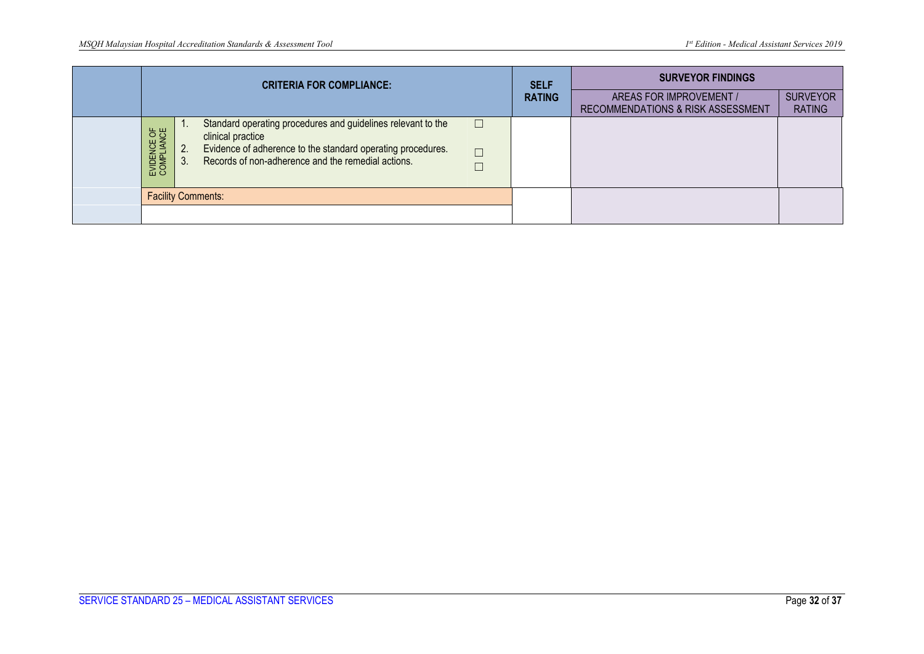| <b>CRITERIA FOR COMPLIANCE:</b> |          | <b>SELF</b>                                                                                                                                                                                            | <b>SURVEYOR FINDINGS</b>   |               |                                                              |                                  |
|---------------------------------|----------|--------------------------------------------------------------------------------------------------------------------------------------------------------------------------------------------------------|----------------------------|---------------|--------------------------------------------------------------|----------------------------------|
|                                 |          |                                                                                                                                                                                                        |                            | <b>RATING</b> | AREAS FOR IMPROVEMENT /<br>RECOMMENDATIONS & RISK ASSESSMENT | <b>SURVEYOR</b><br><b>RATING</b> |
| EVIDENCE OF<br>COMPLIANCE       | 2.<br>3. | Standard operating procedures and guidelines relevant to the<br>clinical practice<br>Evidence of adherence to the standard operating procedures.<br>Records of non-adherence and the remedial actions. | $\Box$<br>$\Box$<br>$\Box$ |               |                                                              |                                  |
|                                 |          | <b>Facility Comments:</b>                                                                                                                                                                              |                            |               |                                                              |                                  |
|                                 |          |                                                                                                                                                                                                        |                            |               |                                                              |                                  |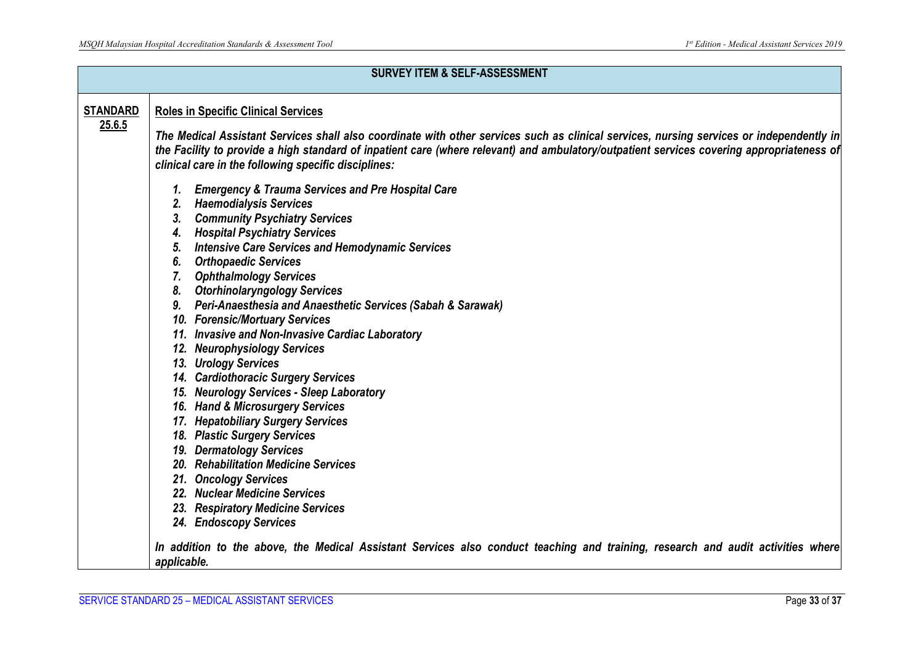|                 | <b>SURVEY ITEM &amp; SELF-ASSESSMENT</b>                                                                                                                                                                                                                                                                                                                                                                                                                                                                                                                                                                                                                                                                                                                                                                                                                                                                                                                                                                |
|-----------------|---------------------------------------------------------------------------------------------------------------------------------------------------------------------------------------------------------------------------------------------------------------------------------------------------------------------------------------------------------------------------------------------------------------------------------------------------------------------------------------------------------------------------------------------------------------------------------------------------------------------------------------------------------------------------------------------------------------------------------------------------------------------------------------------------------------------------------------------------------------------------------------------------------------------------------------------------------------------------------------------------------|
| <b>STANDARD</b> | <b>Roles in Specific Clinical Services</b>                                                                                                                                                                                                                                                                                                                                                                                                                                                                                                                                                                                                                                                                                                                                                                                                                                                                                                                                                              |
| 25.6.5          | The Medical Assistant Services shall also coordinate with other services such as clinical services, nursing services or independently in<br>the Facility to provide a high standard of inpatient care (where relevant) and ambulatory/outpatient services covering appropriateness of<br>clinical care in the following specific disciplines:                                                                                                                                                                                                                                                                                                                                                                                                                                                                                                                                                                                                                                                           |
|                 | <b>Emergency &amp; Trauma Services and Pre Hospital Care</b><br><b>Haemodialysis Services</b><br>2.<br><b>Community Psychiatry Services</b><br>3.<br><b>Hospital Psychiatry Services</b><br>4.<br><b>Intensive Care Services and Hemodynamic Services</b><br>5.<br><b>Orthopaedic Services</b><br>6.<br><b>Ophthalmology Services</b><br><b>Otorhinolaryngology Services</b><br>8.<br>9. Peri-Anaesthesia and Anaesthetic Services (Sabah & Sarawak)<br>10. Forensic/Mortuary Services<br>11. Invasive and Non-Invasive Cardiac Laboratory<br>12. Neurophysiology Services<br><b>Urology Services</b><br>13.<br>14. Cardiothoracic Surgery Services<br>15. Neurology Services - Sleep Laboratory<br>16. Hand & Microsurgery Services<br>17. Hepatobiliary Surgery Services<br>18. Plastic Surgery Services<br>19. Dermatology Services<br>20. Rehabilitation Medicine Services<br>21. Oncology Services<br>22. Nuclear Medicine Services<br>23. Respiratory Medicine Services<br>24. Endoscopy Services |
|                 | In addition to the above, the Medical Assistant Services also conduct teaching and training, research and audit activities where<br>applicable.                                                                                                                                                                                                                                                                                                                                                                                                                                                                                                                                                                                                                                                                                                                                                                                                                                                         |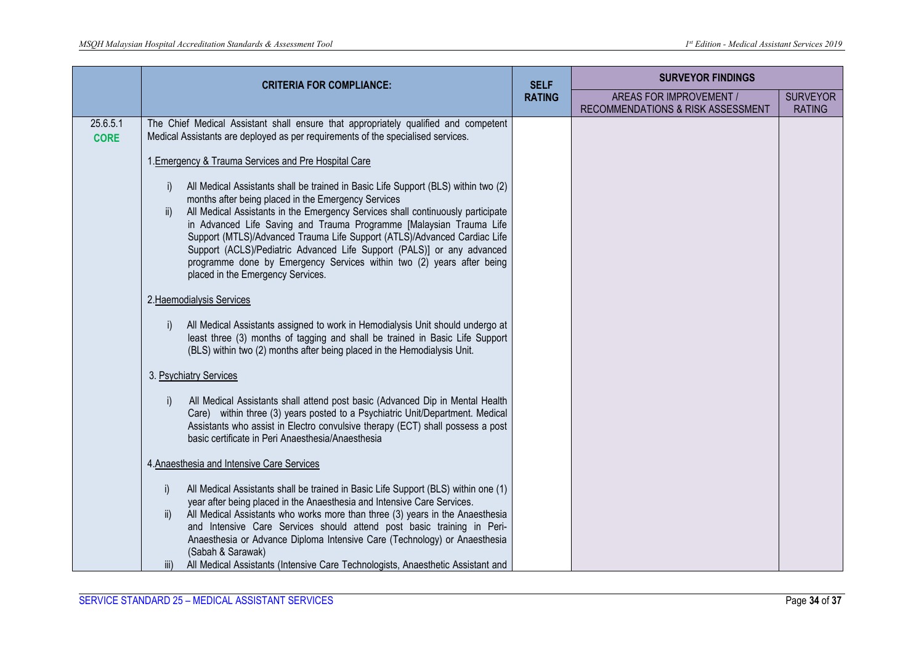|                         | <b>CRITERIA FOR COMPLIANCE:</b>                                                                                                                                                                                                                                                                                                                                                                                                                                                                                                                                                                        | <b>SELF</b>   | <b>SURVEYOR FINDINGS</b>                                     |                                  |
|-------------------------|--------------------------------------------------------------------------------------------------------------------------------------------------------------------------------------------------------------------------------------------------------------------------------------------------------------------------------------------------------------------------------------------------------------------------------------------------------------------------------------------------------------------------------------------------------------------------------------------------------|---------------|--------------------------------------------------------------|----------------------------------|
|                         |                                                                                                                                                                                                                                                                                                                                                                                                                                                                                                                                                                                                        | <b>RATING</b> | AREAS FOR IMPROVEMENT /<br>RECOMMENDATIONS & RISK ASSESSMENT | <b>SURVEYOR</b><br><b>RATING</b> |
| 25.6.5.1<br><b>CORE</b> | The Chief Medical Assistant shall ensure that appropriately qualified and competent<br>Medical Assistants are deployed as per requirements of the specialised services.                                                                                                                                                                                                                                                                                                                                                                                                                                |               |                                                              |                                  |
|                         | 1. Emergency & Trauma Services and Pre Hospital Care                                                                                                                                                                                                                                                                                                                                                                                                                                                                                                                                                   |               |                                                              |                                  |
|                         | All Medical Assistants shall be trained in Basic Life Support (BLS) within two (2)<br>$\ddot{\phantom{1}}$<br>months after being placed in the Emergency Services<br>All Medical Assistants in the Emergency Services shall continuously participate<br>ii)<br>in Advanced Life Saving and Trauma Programme [Malaysian Trauma Life<br>Support (MTLS)/Advanced Trauma Life Support (ATLS)/Advanced Cardiac Life<br>Support (ACLS)/Pediatric Advanced Life Support (PALS)] or any advanced<br>programme done by Emergency Services within two (2) years after being<br>placed in the Emergency Services. |               |                                                              |                                  |
|                         | 2. Haemodialysis Services                                                                                                                                                                                                                                                                                                                                                                                                                                                                                                                                                                              |               |                                                              |                                  |
|                         | All Medical Assistants assigned to work in Hemodialysis Unit should undergo at<br>$\ddot{\phantom{1}}$<br>least three (3) months of tagging and shall be trained in Basic Life Support<br>(BLS) within two (2) months after being placed in the Hemodialysis Unit.                                                                                                                                                                                                                                                                                                                                     |               |                                                              |                                  |
|                         | 3. Psychiatry Services                                                                                                                                                                                                                                                                                                                                                                                                                                                                                                                                                                                 |               |                                                              |                                  |
|                         | All Medical Assistants shall attend post basic (Advanced Dip in Mental Health<br>$\vert$<br>Care) within three (3) years posted to a Psychiatric Unit/Department. Medical<br>Assistants who assist in Electro convulsive therapy (ECT) shall possess a post<br>basic certificate in Peri Anaesthesia/Anaesthesia                                                                                                                                                                                                                                                                                       |               |                                                              |                                  |
|                         | 4. Anaesthesia and Intensive Care Services                                                                                                                                                                                                                                                                                                                                                                                                                                                                                                                                                             |               |                                                              |                                  |
|                         | All Medical Assistants shall be trained in Basic Life Support (BLS) within one (1)<br>i)<br>year after being placed in the Anaesthesia and Intensive Care Services.<br>All Medical Assistants who works more than three (3) years in the Anaesthesia<br>ii)<br>and Intensive Care Services should attend post basic training in Peri-<br>Anaesthesia or Advance Diploma Intensive Care (Technology) or Anaesthesia<br>(Sabah & Sarawak)<br>All Medical Assistants (Intensive Care Technologists, Anaesthetic Assistant and<br>iii)                                                                     |               |                                                              |                                  |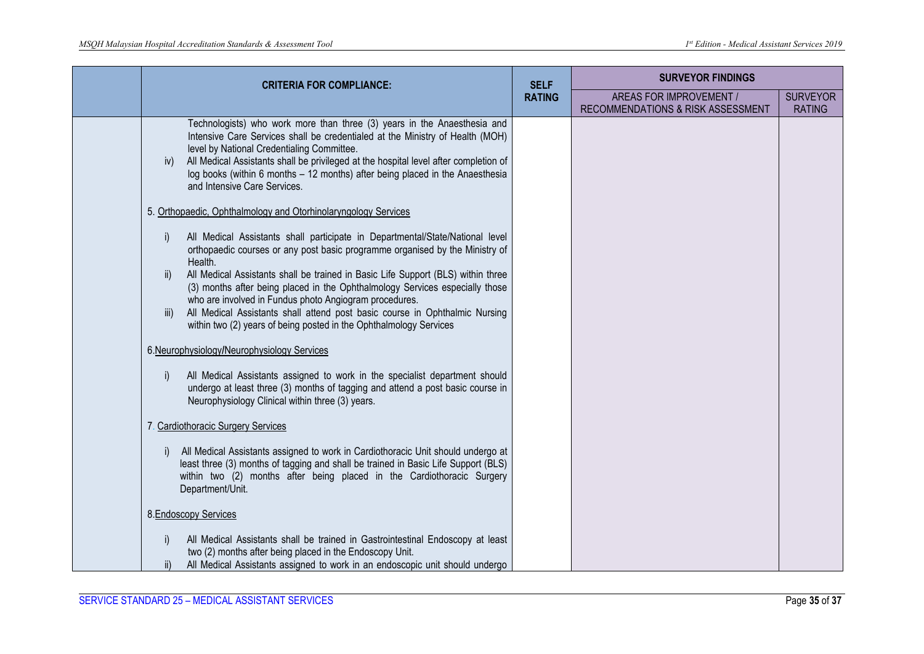|  | <b>CRITERIA FOR COMPLIANCE:</b>                                                                                                                                                                                                                                                                                                                                                                                         | <b>SELF</b><br><b>RATING</b> | <b>SURVEYOR FINDINGS</b>                                     |                                  |
|--|-------------------------------------------------------------------------------------------------------------------------------------------------------------------------------------------------------------------------------------------------------------------------------------------------------------------------------------------------------------------------------------------------------------------------|------------------------------|--------------------------------------------------------------|----------------------------------|
|  |                                                                                                                                                                                                                                                                                                                                                                                                                         |                              | AREAS FOR IMPROVEMENT /<br>RECOMMENDATIONS & RISK ASSESSMENT | <b>SURVEYOR</b><br><b>RATING</b> |
|  | Technologists) who work more than three (3) years in the Anaesthesia and<br>Intensive Care Services shall be credentialed at the Ministry of Health (MOH)<br>level by National Credentialing Committee.<br>All Medical Assistants shall be privileged at the hospital level after completion of<br>iv)<br>log books (within 6 months - 12 months) after being placed in the Anaesthesia<br>and Intensive Care Services. |                              |                                                              |                                  |
|  | 5. Orthopaedic, Ophthalmology and Otorhinolaryngology Services                                                                                                                                                                                                                                                                                                                                                          |                              |                                                              |                                  |
|  | All Medical Assistants shall participate in Departmental/State/National level<br>orthopaedic courses or any post basic programme organised by the Ministry of<br>Health.                                                                                                                                                                                                                                                |                              |                                                              |                                  |
|  | All Medical Assistants shall be trained in Basic Life Support (BLS) within three<br>ii)<br>(3) months after being placed in the Ophthalmology Services especially those<br>who are involved in Fundus photo Angiogram procedures.<br>All Medical Assistants shall attend post basic course in Ophthalmic Nursing<br>iii)<br>within two (2) years of being posted in the Ophthalmology Services                          |                              |                                                              |                                  |
|  | 6.Neurophysiology/Neurophysiology Services                                                                                                                                                                                                                                                                                                                                                                              |                              |                                                              |                                  |
|  | All Medical Assistants assigned to work in the specialist department should<br>undergo at least three (3) months of tagging and attend a post basic course in<br>Neurophysiology Clinical within three (3) years.                                                                                                                                                                                                       |                              |                                                              |                                  |
|  | 7. Cardiothoracic Surgery Services                                                                                                                                                                                                                                                                                                                                                                                      |                              |                                                              |                                  |
|  | All Medical Assistants assigned to work in Cardiothoracic Unit should undergo at<br>least three (3) months of tagging and shall be trained in Basic Life Support (BLS)<br>within two (2) months after being placed in the Cardiothoracic Surgery<br>Department/Unit.                                                                                                                                                    |                              |                                                              |                                  |
|  | 8. Endoscopy Services                                                                                                                                                                                                                                                                                                                                                                                                   |                              |                                                              |                                  |
|  | All Medical Assistants shall be trained in Gastrointestinal Endoscopy at least<br>two (2) months after being placed in the Endoscopy Unit.<br>All Medical Assistants assigned to work in an endoscopic unit should undergo                                                                                                                                                                                              |                              |                                                              |                                  |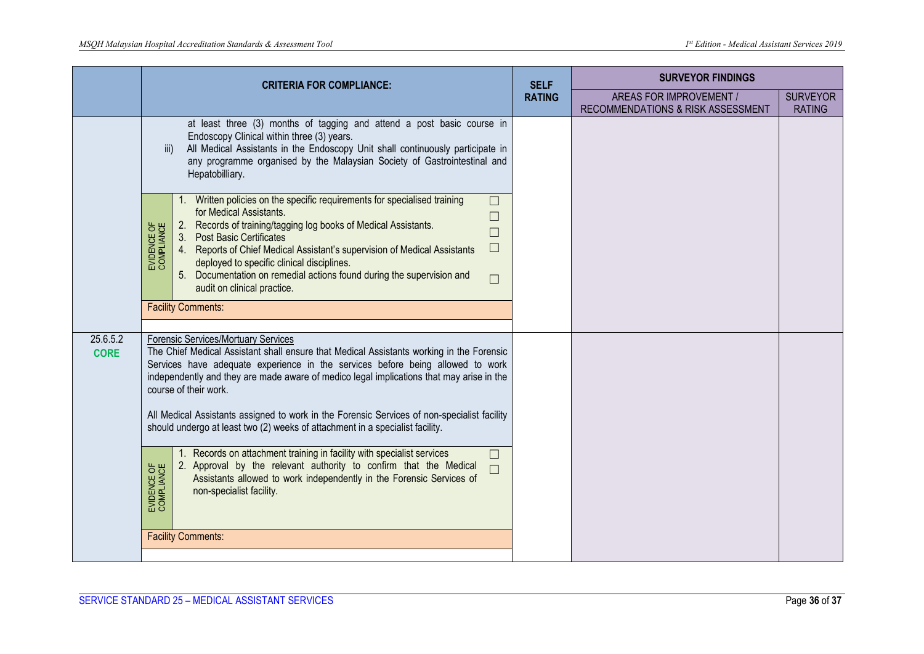|                         | <b>CRITERIA FOR COMPLIANCE:</b>                                                                                                                                                                                                                                                                                                                                                                                                                                                                                                                                                                                                                                                                                                                                                                                           |                              | <b>SURVEYOR FINDINGS</b>                                     |                                  |
|-------------------------|---------------------------------------------------------------------------------------------------------------------------------------------------------------------------------------------------------------------------------------------------------------------------------------------------------------------------------------------------------------------------------------------------------------------------------------------------------------------------------------------------------------------------------------------------------------------------------------------------------------------------------------------------------------------------------------------------------------------------------------------------------------------------------------------------------------------------|------------------------------|--------------------------------------------------------------|----------------------------------|
|                         |                                                                                                                                                                                                                                                                                                                                                                                                                                                                                                                                                                                                                                                                                                                                                                                                                           | <b>SELF</b><br><b>RATING</b> | AREAS FOR IMPROVEMENT /<br>RECOMMENDATIONS & RISK ASSESSMENT | <b>SURVEYOR</b><br><b>RATING</b> |
|                         | at least three (3) months of tagging and attend a post basic course in<br>Endoscopy Clinical within three (3) years.<br>All Medical Assistants in the Endoscopy Unit shall continuously participate in<br>iii)<br>any programme organised by the Malaysian Society of Gastrointestinal and<br>Hepatobilliary.<br>1. Written policies on the specific requirements for specialised training<br>$\Box$<br>for Medical Assistants.<br>$\Box$<br>2. Records of training/tagging log books of Medical Assistants.<br>EVIDENCE OF<br>COMPLIANCE<br>$\Box$<br>3.<br><b>Post Basic Certificates</b><br>$\Box$<br>Reports of Chief Medical Assistant's supervision of Medical Assistants<br>4.<br>deployed to specific clinical disciplines.<br>Documentation on remedial actions found during the supervision and<br>5.<br>$\Box$ |                              |                                                              |                                  |
|                         | audit on clinical practice.<br><b>Facility Comments:</b>                                                                                                                                                                                                                                                                                                                                                                                                                                                                                                                                                                                                                                                                                                                                                                  |                              |                                                              |                                  |
| 25.6.5.2<br><b>CORE</b> | Forensic Services/Mortuary Services<br>The Chief Medical Assistant shall ensure that Medical Assistants working in the Forensic<br>Services have adequate experience in the services before being allowed to work<br>independently and they are made aware of medico legal implications that may arise in the<br>course of their work.<br>All Medical Assistants assigned to work in the Forensic Services of non-specialist facility<br>should undergo at least two (2) weeks of attachment in a specialist facility.<br>1. Records on attachment training in facility with specialist services<br>$\Box$                                                                                                                                                                                                                |                              |                                                              |                                  |
|                         | 2. Approval by the relevant authority to confirm that the Medical<br>EVIDENCE OF<br>COMPLIANCE<br>Assistants allowed to work independently in the Forensic Services of<br>non-specialist facility.                                                                                                                                                                                                                                                                                                                                                                                                                                                                                                                                                                                                                        |                              |                                                              |                                  |
|                         | <b>Facility Comments:</b>                                                                                                                                                                                                                                                                                                                                                                                                                                                                                                                                                                                                                                                                                                                                                                                                 |                              |                                                              |                                  |
|                         |                                                                                                                                                                                                                                                                                                                                                                                                                                                                                                                                                                                                                                                                                                                                                                                                                           |                              |                                                              |                                  |